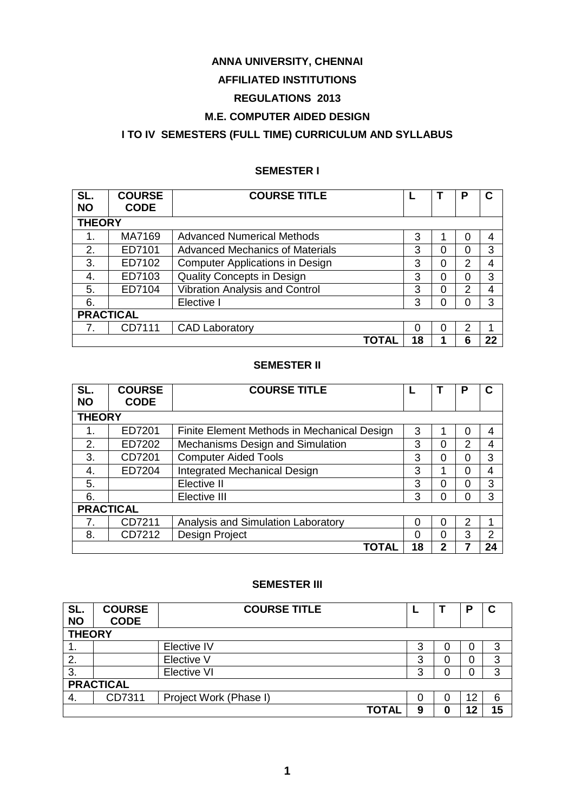# **ANNA UNIVERSITY, CHENNAI**

# **AFFILIATED INSTITUTIONS**

# **REGULATIONS 2013**

# **M.E. COMPUTER AIDED DESIGN**

# **I TO IV SEMESTERS (FULL TIME) CURRICULUM AND SYLLABUS**

# **SEMESTER I**

| SL.<br><b>NO</b> | <b>COURSE</b><br><b>CODE</b> | <b>COURSE TITLE</b>                    |       |    |          | Р | С  |
|------------------|------------------------------|----------------------------------------|-------|----|----------|---|----|
| <b>THEORY</b>    |                              |                                        |       |    |          |   |    |
|                  | MA7169                       | <b>Advanced Numerical Methods</b>      |       | 3  |          | 0 | 4  |
| 2.               | ED7101                       | <b>Advanced Mechanics of Materials</b> |       | 3  | 0        | 0 | 3  |
| 3.               | ED7102                       | <b>Computer Applications in Design</b> |       | 3  | 0        | 2 | 4  |
| 4.               | ED7103                       | <b>Quality Concepts in Design</b>      |       | 3  | $\Omega$ | 0 | 3  |
| 5.               | ED7104                       | <b>Vibration Analysis and Control</b>  |       | 3  | 0        | 2 | 4  |
| 6.               |                              | Elective I                             |       | 3  | $\Omega$ | 0 | 3  |
| <b>PRACTICAL</b> |                              |                                        |       |    |          |   |    |
|                  | CD7111                       | <b>CAD Laboratory</b>                  |       | ∩  | 0        | 2 | 1  |
|                  |                              |                                        | ΤΟΤΑΙ | 18 |          | 6 | 22 |

# **SEMESTER II**

| SL.<br><b>NO</b> | <b>COURSE</b><br><b>CODE</b> | <b>COURSE TITLE</b>                         |    |              | P |    |
|------------------|------------------------------|---------------------------------------------|----|--------------|---|----|
| <b>THEORY</b>    |                              |                                             |    |              |   |    |
| 1.               | ED7201                       | Finite Element Methods in Mechanical Design | 3  | 1            | 0 | 4  |
| 2.               | ED7202                       | Mechanisms Design and Simulation            | 3  | 0            | 2 | 4  |
| 3.               | CD7201                       | <b>Computer Aided Tools</b>                 | 3  | 0            | 0 | 3  |
| 4.               | ED7204                       | <b>Integrated Mechanical Design</b>         | 3  | 1            | 0 | 4  |
| 5.               |                              | Elective II                                 | 3  | 0            | 0 | 3  |
| 6.               |                              | Elective III                                | 3  | 0            | 0 | 3  |
|                  | <b>PRACTICAL</b>             |                                             |    |              |   |    |
| 7.               | CD7211                       | Analysis and Simulation Laboratory          | 0  | 0            | 2 |    |
| 8.               | CD7212                       | Design Project                              | 0  | 0            | 3 | 2  |
|                  |                              | TOTAL                                       | 18 | $\mathbf{2}$ |   | 24 |

# **SEMESTER III**

| SL.<br><b>NO</b> | <b>COURSE</b><br><b>CODE</b> | <b>COURSE TITLE</b>    |   |   | в  |    |
|------------------|------------------------------|------------------------|---|---|----|----|
| <b>THEORY</b>    |                              |                        |   |   |    |    |
| . .              |                              | Elective IV            | 3 |   | O  | 3  |
| 2.               |                              | Elective V             | 3 |   | 0  | 3  |
| 3.               |                              | <b>Elective VI</b>     | 3 |   | 0  | 3  |
|                  | <b>PRACTICAL</b>             |                        |   |   |    |    |
| 4.               | CD7311                       | Project Work (Phase I) |   |   | 12 | 6  |
|                  |                              | ΤΟΤΑΙ                  | 9 | 0 | 12 | 15 |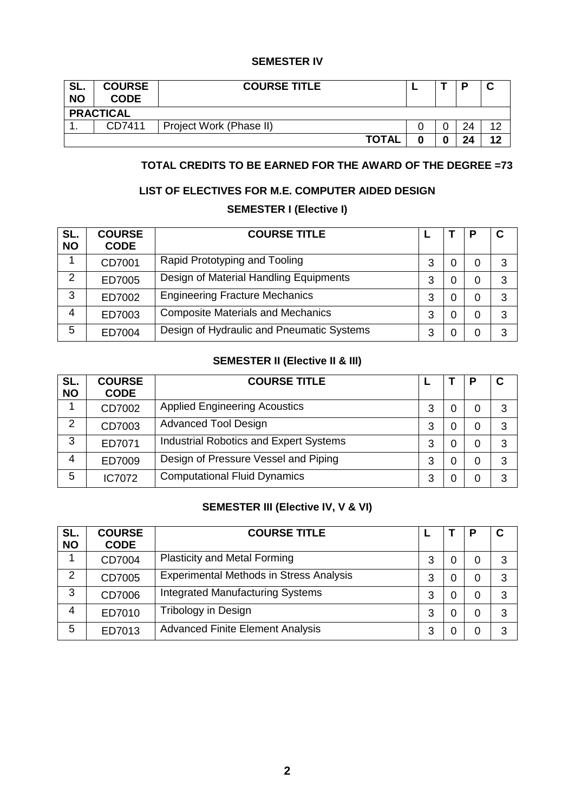# **SEMESTER IV**

| SL.<br><b>NO</b> | <b>COURSE</b><br><b>CODE</b>      | <b>COURSE TITLE</b> |  |   |    |    |  |
|------------------|-----------------------------------|---------------------|--|---|----|----|--|
|                  | <b>PRACTICAL</b>                  |                     |  |   |    |    |  |
| . .              | CD7411<br>Project Work (Phase II) |                     |  |   | 24 | 10 |  |
|                  |                                   | <b>TOTAL</b>        |  | O | 24 | 12 |  |

# **TOTAL CREDITS TO BE EARNED FOR THE AWARD OF THE DEGREE =73**

# **LIST OF ELECTIVES FOR M.E. COMPUTER AIDED DESIGN**

# **SEMESTER I (Elective I)**

| SL.<br><b>NO</b> | <b>COURSE</b><br><b>CODE</b> | <b>COURSE TITLE</b>                       |   |   |   |    |
|------------------|------------------------------|-------------------------------------------|---|---|---|----|
|                  | CD7001                       | Rapid Prototyping and Tooling             | 3 | 0 | 0 | -3 |
| $\overline{2}$   | ED7005                       | Design of Material Handling Equipments    | 3 | 0 | 0 | 3  |
| 3                | ED7002                       | <b>Engineering Fracture Mechanics</b>     | 3 | 0 | 0 | 3  |
| 4                | ED7003                       | <b>Composite Materials and Mechanics</b>  | 3 | 0 | 0 | -3 |
| 5                | ED7004                       | Design of Hydraulic and Pneumatic Systems | 3 | O | 0 | 3  |

# **SEMESTER II (Elective II & III)**

| SL.<br><b>NO</b> | <b>COURSE</b><br><b>CODE</b> | <b>COURSE TITLE</b>                           |   |   | C |
|------------------|------------------------------|-----------------------------------------------|---|---|---|
| 1                | CD7002                       | <b>Applied Engineering Acoustics</b>          | 3 | 0 | 3 |
| 2                | CD7003                       | <b>Advanced Tool Design</b>                   | 3 | 0 | 3 |
| 3                | ED7071                       | <b>Industrial Robotics and Expert Systems</b> | 3 | 0 | 3 |
| 4                | ED7009                       | Design of Pressure Vessel and Piping          | 3 | 0 | 3 |
| 5                | IC7072                       | <b>Computational Fluid Dynamics</b>           | 3 | 0 | 3 |

# **SEMESTER III (Elective IV, V & VI)**

| SL.<br><b>NO</b> | <b>COURSE</b><br><b>CODE</b> | <b>COURSE TITLE</b>                            |   |   |   | C |
|------------------|------------------------------|------------------------------------------------|---|---|---|---|
|                  | CD7004                       | <b>Plasticity and Metal Forming</b>            | 3 | 0 | 0 | 3 |
| $\overline{2}$   | CD7005                       | <b>Experimental Methods in Stress Analysis</b> | 3 | 0 | 0 | 3 |
| 3                | CD7006                       | <b>Integrated Manufacturing Systems</b>        | 3 | 0 | 0 | 3 |
| 4                | ED7010                       | Tribology in Design                            | 3 | 0 | 0 | 3 |
| 5                | ED7013                       | <b>Advanced Finite Element Analysis</b>        | 3 |   | 0 | 3 |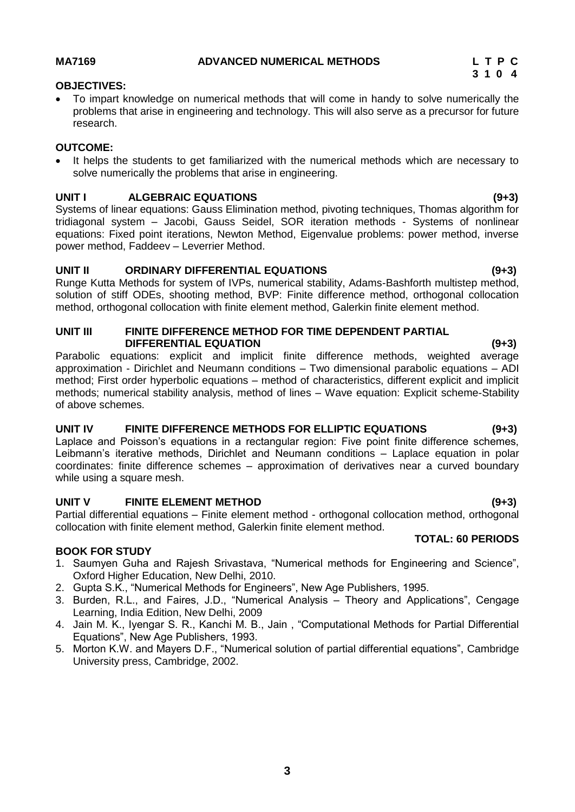# <span id="page-2-0"></span>**OBJECTIVES:**

 To impart knowledge on numerical methods that will come in handy to solve numerically the problems that arise in engineering and technology. This will also serve as a precursor for future research.

# **OUTCOME:**

 It helps the students to get familiarized with the numerical methods which are necessary to solve numerically the problems that arise in engineering.

# **UNIT I ALGEBRAIC EQUATIONS (9+3)**

Systems of linear equations: Gauss Elimination method, pivoting techniques, Thomas algorithm for tridiagonal system – Jacobi, Gauss Seidel, SOR iteration methods - Systems of nonlinear equations: Fixed point iterations, Newton Method, Eigenvalue problems: power method, inverse power method, Faddeev – Leverrier Method.

# **UNIT II ORDINARY DIFFERENTIAL EQUATIONS (9+3)**

Runge Kutta Methods for system of IVPs, numerical stability, Adams-Bashforth multistep method, solution of stiff ODEs, shooting method, BVP: Finite difference method, orthogonal collocation method, orthogonal collocation with finite element method, Galerkin finite element method.

# **UNIT III FINITE DIFFERENCE METHOD FOR TIME DEPENDENT PARTIAL DIFFERENTIAL EQUATION (9+3)**

Parabolic equations: explicit and implicit finite difference methods, weighted average approximation - Dirichlet and Neumann conditions – Two dimensional parabolic equations – ADI method; First order hyperbolic equations – method of characteristics, different explicit and implicit methods; numerical stability analysis, method of lines – Wave equation: Explicit scheme-Stability of above schemes.

# **UNIT IV FINITE DIFFERENCE METHODS FOR ELLIPTIC EQUATIONS (9+3)**

Laplace and Poisson's equations in a rectangular region: Five point finite difference schemes, Leibmann's iterative methods, Dirichlet and Neumann conditions – Laplace equation in polar coordinates: finite difference schemes – approximation of derivatives near a curved boundary while using a square mesh.

# **UNIT V FINITE ELEMENT METHOD (9+3)**

Partial differential equations – Finite element method - orthogonal collocation method, orthogonal collocation with finite element method, Galerkin finite element method.

# **BOOK FOR STUDY**

- 1. Saumyen Guha and Rajesh Srivastava, "Numerical methods for Engineering and Science", Oxford Higher Education, New Delhi, 2010.
- 2. Gupta S.K., "Numerical Methods for Engineers", New Age Publishers, 1995.
- 3. Burden, R.L., and Faires, J.D., "Numerical Analysis Theory and Applications", Cengage Learning, India Edition, New Delhi, 2009
- 4. Jain M. K., Iyengar S. R., Kanchi M. B., Jain , "Computational Methods for Partial Differential Equations", New Age Publishers, 1993.
- 5. Morton K.W. and Mayers D.F., "Numerical solution of partial differential equations", Cambridge University press, Cambridge, 2002.

**3**

# **3 1 0 4**

**TOTAL: 60 PERIODS**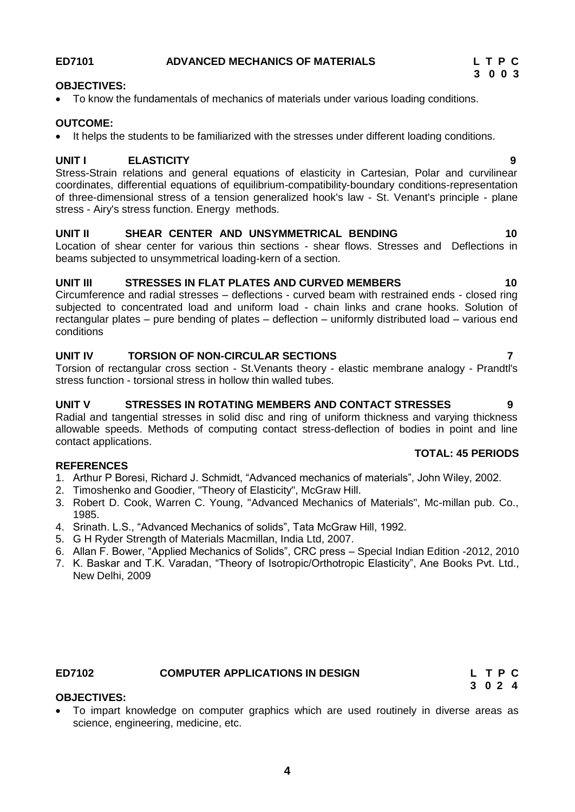# <span id="page-3-0"></span>**ED7101 ADVANCED MECHANICS OF MATERIALS L T P C**

# **OBJECTIVES:**

To know the fundamentals of mechanics of materials under various loading conditions.

### **OUTCOME:**

• It helps the students to be familiarized with the stresses under different loading conditions.

# **UNIT I ELASTICITY 9**

Stress-Strain relations and general equations of elasticity in Cartesian, Polar and curvilinear coordinates, differential equations of equilibrium-compatibility-boundary conditions-representation of three-dimensional stress of a tension generalized hook's law - St. Venant's principle - plane stress - Airy's stress function. Energy methods.

### **UNIT II SHEAR CENTER AND UNSYMMETRICAL BENDING 10**

Location of shear center for various thin sections - shear flows. Stresses and Deflections in beams subjected to unsymmetrical loading-kern of a section.

# **UNIT III STRESSES IN FLAT PLATES AND CURVED MEMBERS 10**

Circumference and radial stresses – deflections - curved beam with restrained ends - closed ring subjected to concentrated load and uniform load - chain links and crane hooks. Solution of rectangular plates – pure bending of plates – deflection – uniformly distributed load – various end conditions

# **UNIT IV TORSION OF NON-CIRCULAR SECTIONS 7**

Torsion of rectangular cross section - St.Venants theory - elastic membrane analogy - Prandtl's stress function - torsional stress in hollow thin walled tubes.

### **UNIT V STRESSES IN ROTATING MEMBERS AND CONTACT STRESSES 9**

Radial and tangential stresses in solid disc and ring of uniform thickness and varying thickness allowable speeds. Methods of computing contact stress-deflection of bodies in point and line contact applications.

### **REFERENCES**

- 1. Arthur P Boresi, Richard J. Schmidt, "Advanced mechanics of materials", John Wiley, 2002.
- 2. Timoshenko and Goodier, "Theory of Elasticity", McGraw Hill.
- 3. Robert D. Cook, Warren C. Young, "Advanced Mechanics of Materials", Mc-millan pub. Co., 1985.
- 4. Srinath. L.S., "Advanced Mechanics of solids", Tata McGraw Hill, 1992.
- 5. G H Ryder Strength of Materials Macmillan, India Ltd, 2007.
- 6. Allan F. Bower, "Applied Mechanics of Solids", CRC press Special Indian Edition -2012, 2010
- 7. K. Baskar and T.K. Varadan, "Theory of Isotropic/Orthotropic Elasticity", Ane Books Pvt. Ltd., New Delhi, 2009

### **3 0 2 4 OBJECTIVES:**

 To impart knowledge on computer graphics which are used routinely in diverse areas as science, engineering, medicine, etc.

# **TOTAL: 45 PERIODS**

# <span id="page-3-1"></span>**ED7102 COMPUTER APPLICATIONS IN DESIGN L T P C**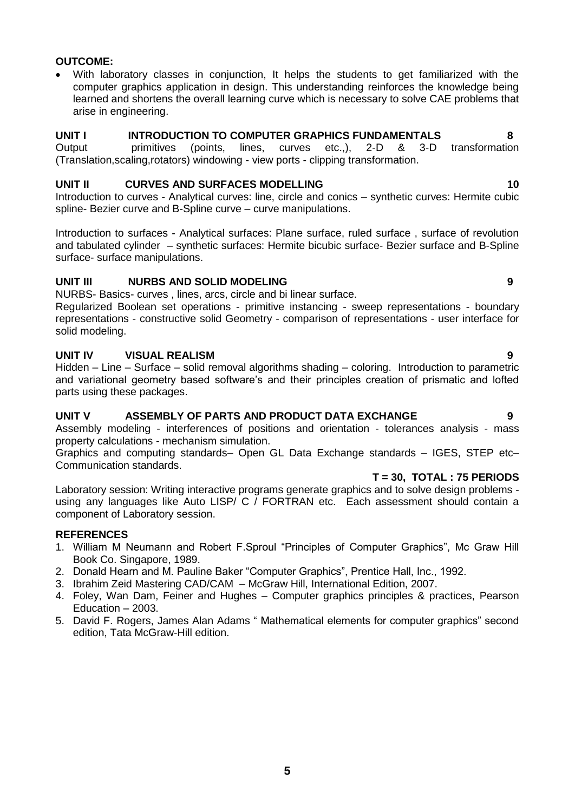# **OUTCOME:**

 With laboratory classes in conjunction, It helps the students to get familiarized with the computer graphics application in design. This understanding reinforces the knowledge being learned and shortens the overall learning curve which is necessary to solve CAE problems that arise in engineering.

### **UNIT I INTRODUCTION TO COMPUTER GRAPHICS FUNDAMENTALS 8**

Output primitives (points, lines, curves etc.,), 2-D & 3-D transformation (Translation,scaling,rotators) windowing - view ports - clipping transformation.

### **UNIT II CURVES AND SURFACES MODELLING 10**

Introduction to curves - Analytical curves: line, circle and conics – synthetic curves: Hermite cubic spline- Bezier curve and B-Spline curve – curve manipulations.

Introduction to surfaces - Analytical surfaces: Plane surface, ruled surface , surface of revolution and tabulated cylinder – synthetic surfaces: Hermite bicubic surface- Bezier surface and B-Spline surface- surface manipulations.

# **UNIT III NURBS AND SOLID MODELING 9**

NURBS- Basics- curves , lines, arcs, circle and bi linear surface.

Regularized Boolean set operations - primitive instancing - sweep representations - boundary representations - constructive solid Geometry - comparison of representations - user interface for solid modeling.

### **UNIT IV VISUAL REALISM 9**

Hidden – Line – Surface – solid removal algorithms shading – coloring. Introduction to parametric and variational geometry based software's and their principles creation of prismatic and lofted parts using these packages.

# **UNIT V ASSEMBLY OF PARTS AND PRODUCT DATA EXCHANGE 9**

Assembly modeling - interferences of positions and orientation - tolerances analysis - mass property calculations - mechanism simulation.

Graphics and computing standards– Open GL Data Exchange standards – IGES, STEP etc– Communication standards.

### **T = 30,****TOTAL : 75 PERIODS**

Laboratory session: Writing interactive programs generate graphics and to solve design problems using any languages like Auto LISP/ C / FORTRAN etc. Each assessment should contain a component of Laboratory session.

# **REFERENCES**

- 1. William M Neumann and Robert F.Sproul "Principles of Computer Graphics", Mc Graw Hill Book Co. Singapore, 1989.
- 2. Donald Hearn and M. Pauline Baker "Computer Graphics", Prentice Hall, Inc., 1992.
- 3. Ibrahim Zeid Mastering CAD/CAM McGraw Hill, International Edition, 2007.
- 4. Foley, Wan Dam, Feiner and Hughes Computer graphics principles & practices, Pearson Education – 2003.
- 5. [David F. Rogers,](https://www.google.co.in/search?hl=en&safe=active&tbo=d&tbm=bks&tbm=bks&q=inauthor:%22David+F.+Rogers%22&sa=X&ei=HK7rUNPFJMSOrge82oC4DQ&ved=0CDcQ9AgwAA) [James Alan Adams](https://www.google.co.in/search?hl=en&safe=active&tbo=d&tbm=bks&tbm=bks&q=inauthor:%22James+Alan+Adams%22&sa=X&ei=HK7rUNPFJMSOrge82oC4DQ&ved=0CDgQ9AgwAA) " Mathematical elements for computer graphics" second edition, Tata McGraw-Hill edition.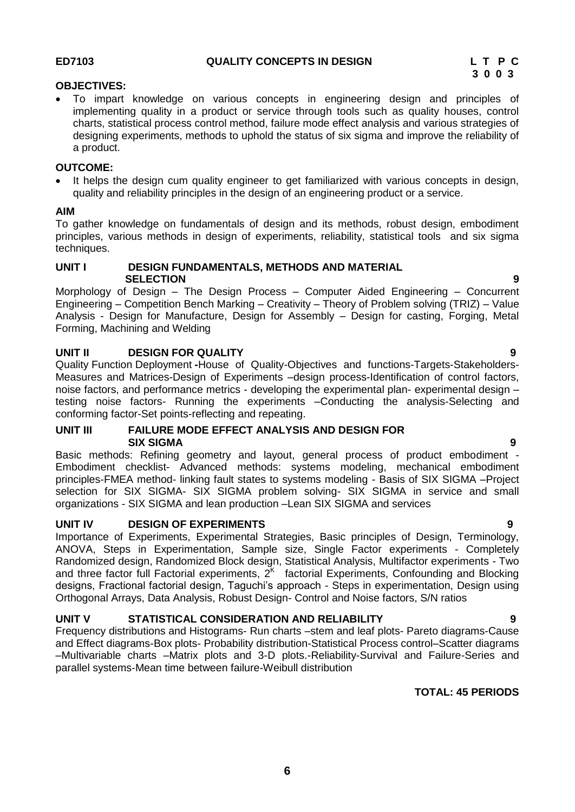### <span id="page-5-0"></span>**OBJECTIVES:**

 To impart knowledge on various concepts in engineering design and principles of implementing quality in a product or service through tools such as quality houses, control charts, statistical process control method, failure mode effect analysis and various strategies of designing experiments, methods to uphold the status of six sigma and improve the reliability of a product.

### **OUTCOME:**

 It helps the design cum quality engineer to get familiarized with various concepts in design, quality and reliability principles in the design of an engineering product or a service.

### **AIM**

To gather knowledge on fundamentals of design and its methods, robust design, embodiment principles, various methods in design of experiments, reliability, statistical tools and six sigma techniques.

# **UNIT I DESIGN FUNDAMENTALS, METHODS AND MATERIAL SELECTION 9**

Morphology of Design – The Design Process – Computer Aided Engineering – Concurrent Engineering – Competition Bench Marking – Creativity – Theory of Problem solving (TRIZ) – Value Analysis - Design for Manufacture, Design for Assembly – Design for casting, Forging, Metal Forming, Machining and Welding

# **UNIT II DESIGN FOR QUALITY 9**

Quality Function Deployment **-**House of Quality-Objectives and functions-Targets-Stakeholders-Measures and Matrices-Design of Experiments –design process-Identification of control factors, noise factors, and performance metrics - developing the experimental plan- experimental design – testing noise factors- Running the experiments –Conducting the analysis-Selecting and conforming factor-Set points-reflecting and repeating.

### **UNIT III FAILURE MODE EFFECT ANALYSIS AND DESIGN FOR SIX SIGMA 9**

Basic methods: Refining geometry and layout, general process of product embodiment - Embodiment checklist- Advanced methods: systems modeling, mechanical embodiment principles-FMEA method- linking fault states to systems modeling - Basis of SIX SIGMA –Project selection for SIX SIGMA- SIX SIGMA problem solving- SIX SIGMA in service and small organizations - SIX SIGMA and lean production –Lean SIX SIGMA and services

# **UNIT IV DESIGN OF EXPERIMENTS 9**

Importance of Experiments, Experimental Strategies, Basic principles of Design, Terminology, ANOVA, Steps in Experimentation, Sample size, Single Factor experiments - Completely Randomized design, Randomized Block design, Statistical Analysis, Multifactor experiments - Two and three factor full Factorial experiments,  $2<sup>K</sup>$  factorial Experiments, Confounding and Blocking designs, Fractional factorial design, Taguchi's approach - Steps in experimentation, Design using Orthogonal Arrays, Data Analysis, Robust Design- Control and Noise factors, S/N ratios

# **UNIT V STATISTICAL CONSIDERATION AND RELIABILITY 9**

Frequency distributions and Histograms- Run charts –stem and leaf plots- Pareto diagrams-Cause and Effect diagrams-Box plots- Probability distribution-Statistical Process control–Scatter diagrams –Multivariable charts –Matrix plots and 3-D plots.-Reliability-Survival and Failure-Series and parallel systems-Mean time between failure-Weibull distribution

# **TOTAL: 45 PERIODS**

**6**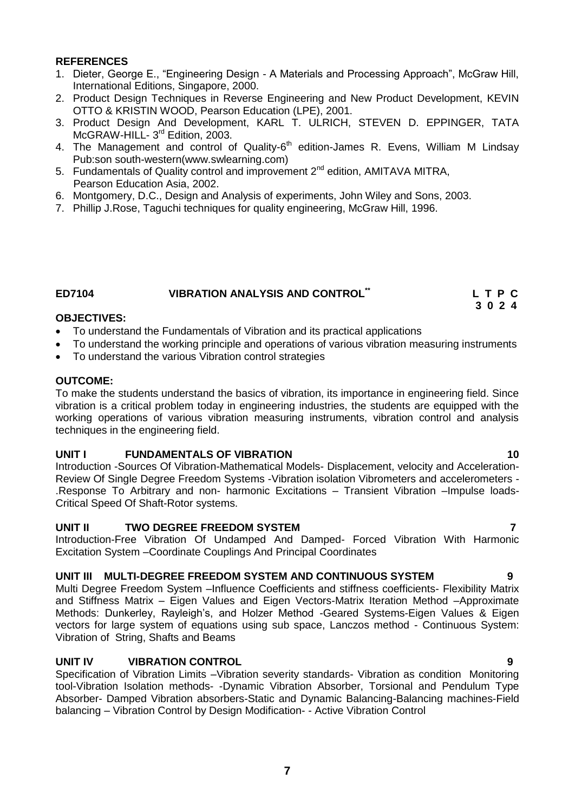# **REFERENCES**

- 1. Dieter, George E., "Engineering Design A Materials and Processing Approach", McGraw Hill, International Editions, Singapore, 2000.
- 2. Product Design Techniques in Reverse Engineering and New Product Development, KEVIN OTTO & KRISTIN WOOD, Pearson Education (LPE), 2001.
- 3. Product Design And Development, KARL T. ULRICH, STEVEN D. EPPINGER, TATA McGRAW-HILL- 3<sup>rd</sup> Edition, 2003.
- 4. The Management and control of Quality-6<sup>th</sup> edition-James R. Evens, William M Lindsay Pub:son south-western[\(www.swlearning.com\)](http://www.swlearning.com/)
- 5. Fundamentals of Quality control and improvement 2<sup>nd</sup> edition. AMITAVA MITRA. Pearson Education Asia, 2002.
- 6. Montgomery, D.C., Design and Analysis of experiments, John Wiley and Sons, 2003.
- 7. Phillip J.Rose, Taguchi techniques for quality engineering, McGraw Hill, 1996.

# <span id="page-6-0"></span>**ED7104 VIBRATION ANALYSIS AND CONTROL\*\***

# **OBJECTIVES:**

- To understand the Fundamentals of Vibration and its practical applications
- To understand the working principle and operations of various vibration measuring instruments
- To understand the various Vibration control strategies

# **OUTCOME:**

To make the students understand the basics of vibration, its importance in engineering field. Since vibration is a critical problem today in engineering industries, the students are equipped with the working operations of various vibration measuring instruments, vibration control and analysis techniques in the engineering field.

# **UNIT I FUNDAMENTALS OF VIBRATION 10**

Introduction -Sources Of Vibration-Mathematical Models- Displacement, velocity and Acceleration-Review Of Single Degree Freedom Systems -Vibration isolation Vibrometers and accelerometers - .Response To Arbitrary and non- harmonic Excitations – Transient Vibration –Impulse loads-Critical Speed Of Shaft-Rotor systems.

# **UNIT II TWO DEGREE FREEDOM SYSTEM 7**

Introduction-Free Vibration Of Undamped And Damped- Forced Vibration With Harmonic Excitation System –Coordinate Couplings And Principal Coordinates

# **UNIT III MULTI-DEGREE FREEDOM SYSTEM AND CONTINUOUS SYSTEM 9**

Multi Degree Freedom System –Influence Coefficients and stiffness coefficients- Flexibility Matrix and Stiffness Matrix – Eigen Values and Eigen Vectors-Matrix Iteration Method –Approximate Methods: Dunkerley, Rayleigh's, and Holzer Method -Geared Systems-Eigen Values & Eigen vectors for large system of equations using sub space, Lanczos method - Continuous System: Vibration of String, Shafts and Beams

# **UNIT IV VIBRATION CONTROL 9**

Specification of Vibration Limits –Vibration severity standards- Vibration as condition Monitoring tool-Vibration Isolation methods- -Dynamic Vibration Absorber, Torsional and Pendulum Type Absorber- Damped Vibration absorbers-Static and Dynamic Balancing-Balancing machines-Field balancing – Vibration Control by Design Modification- - Active Vibration Control

 **L T P C 3 0 2 4**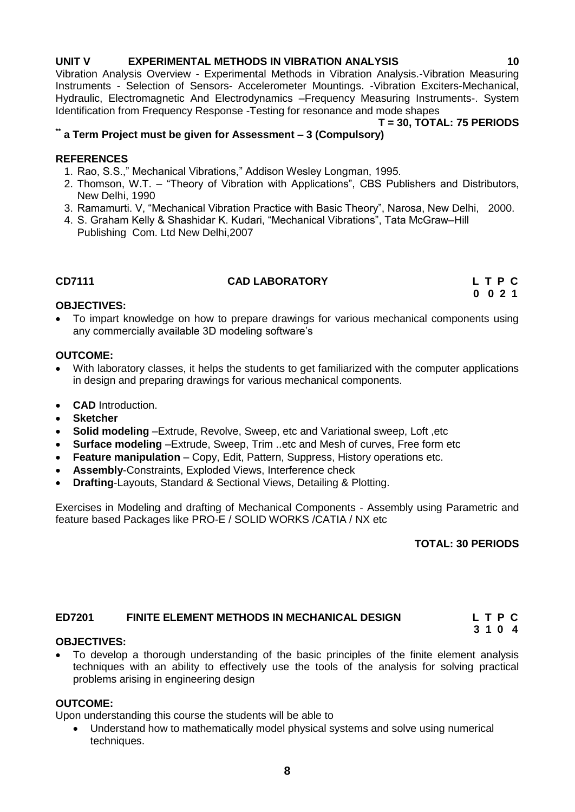# **UNIT V EXPERIMENTAL METHODS IN VIBRATION ANALYSIS 10**

Vibration Analysis Overview - Experimental Methods in Vibration Analysis.-Vibration Measuring Instruments - Selection of Sensors- Accelerometer Mountings. -Vibration Exciters-Mechanical, Hydraulic, Electromagnetic And Electrodynamics –Frequency Measuring Instruments-. System Identification from Frequency Response -Testing for resonance and mode shapes

# **T = 30, TOTAL: 75 PERIODS**

# **\*\* a Term Project must be given for Assessment – 3 (Compulsory)**

# **REFERENCES**

- 1. Rao, S.S.," Mechanical Vibrations," Addison Wesley Longman, 1995.
- 2. Thomson, W.T. "Theory of Vibration with Applications", CBS Publishers and Distributors, New Delhi, 1990
- 3. Ramamurti. V, "Mechanical Vibration Practice with Basic Theory", Narosa, New Delhi, 2000.
- 4. S. Graham Kelly & Shashidar K. Kudari, "Mechanical Vibrations", Tata McGraw–Hill
- <span id="page-7-0"></span>Publishing Com. Ltd New Delhi,2007

# **CD7111 CAD LABORATORY L T P C**

 **0 0 2 1**

# **OBJECTIVES:**

 To impart knowledge on how to prepare drawings for various mechanical components using any commercially available 3D modeling software's

# **OUTCOME:**

- With laboratory classes, it helps the students to get familiarized with the computer applications in design and preparing drawings for various mechanical components.
- **CAD** Introduction.
- **Sketcher**
- **Solid modeling** –Extrude, Revolve, Sweep, etc and Variational sweep, Loft ,etc
- **Surface modeling** –Extrude, Sweep, Trim ..etc and Mesh of curves, Free form etc
- **Feature manipulation** Copy, Edit, Pattern, Suppress, History operations etc.
- **Assembly**-Constraints, Exploded Views, Interference check
- **Drafting**-Layouts, Standard & Sectional Views, Detailing & Plotting.

Exercises in Modeling and drafting of Mechanical Components - Assembly using Parametric and feature based Packages like PRO-E / SOLID WORKS /CATIA / NX etc

# **TOTAL: 30 PERIODS**

# <span id="page-7-1"></span>**ED7201 FINITE ELEMENT METHODS IN MECHANICAL DESIGN L T P C**

 **3 1 0 4**

# **OBJECTIVES:**

 To develop a thorough understanding of the basic principles of the finite element analysis techniques with an ability to effectively use the tools of the analysis for solving practical problems arising in engineering design

# **OUTCOME:**

Upon understanding this course the students will be able to

 Understand how to mathematically model physical systems and solve using numerical techniques.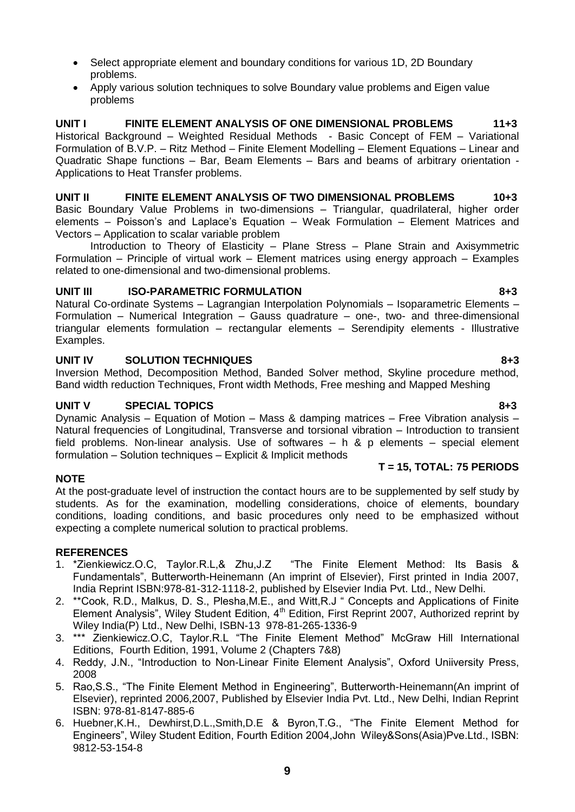- Select appropriate element and boundary conditions for various 1D, 2D Boundary problems.
- Apply various solution techniques to solve Boundary value problems and Eigen value problems

**UNIT I FINITE ELEMENT ANALYSIS OF ONE DIMENSIONAL PROBLEMS 11+3** Historical Background – Weighted Residual Methods - Basic Concept of FEM – Variational Formulation of B.V.P. – Ritz Method – Finite Element Modelling – Element Equations – Linear and Quadratic Shape functions – Bar, Beam Elements – Bars and beams of arbitrary orientation - Applications to Heat Transfer problems.

**UNIT II FINITE ELEMENT ANALYSIS OF TWO DIMENSIONAL PROBLEMS 10+3** Basic Boundary Value Problems in two-dimensions – Triangular, quadrilateral, higher order elements – Poisson's and Laplace's Equation – Weak Formulation – Element Matrices and Vectors – Application to scalar variable problem

Introduction to Theory of Elasticity – Plane Stress – Plane Strain and Axisymmetric Formulation – Principle of virtual work – Element matrices using energy approach – Examples related to one-dimensional and two-dimensional problems.

# UNIT III ISO-PARAMETRIC FORMULATION **843**

Natural Co-ordinate Systems – Lagrangian Interpolation Polynomials – Isoparametric Elements – Formulation – Numerical Integration – Gauss quadrature – one-, two- and three-dimensional triangular elements formulation – rectangular elements – Serendipity elements - Illustrative Examples.

# **UNIT IV SOLUTION TECHNIQUES 8+3**

Inversion Method, Decomposition Method, Banded Solver method, Skyline procedure method, Band width reduction Techniques, Front width Methods, Free meshing and Mapped Meshing

# **UNIT V** SPECIAL TOPICS 8+3

Dynamic Analysis – Equation of Motion – Mass & damping matrices – Free Vibration analysis – Natural frequencies of Longitudinal, Transverse and torsional vibration – Introduction to transient field problems. Non-linear analysis. Use of softwares – h & p elements – special element formulation – Solution techniques – Explicit & Implicit methods

# **T = 15, TOTAL: 75 PERIODS**

At the post-graduate level of instruction the contact hours are to be supplemented by self study by students. As for the examination, modelling considerations, choice of elements, boundary conditions, loading conditions, and basic procedures only need to be emphasized without expecting a complete numerical solution to practical problems.

# **REFERENCES**

**NOTE**

- 1. \*Zienkiewicz.O.C, Taylor.R.L,& Zhu,J.Z "The Finite Element Method: Its Basis & Fundamentals", Butterworth-Heinemann (An imprint of Elsevier), First printed in India 2007, India Reprint ISBN:978-81-312-1118-2, published by Elsevier India Pvt. Ltd., New Delhi.
- 2. \*\*Cook, R.D., Malkus, D. S., Plesha,M.E., and Witt,R.J " Concepts and Applications of Finite Element Analysis", Wiley Student Edition, 4<sup>th</sup> Edition, First Reprint 2007, Authorized reprint by Wiley India(P) Ltd., New Delhi, ISBN-13 978-81-265-1336-9
- 3. \*\*\* Zienkiewicz.O.C, Taylor.R.L "The Finite Element Method" McGraw Hill International Editions, Fourth Edition, 1991, Volume 2 (Chapters 7&8)
- 4. Reddy, J.N., "Introduction to Non-Linear Finite Element Analysis", Oxford Uniiversity Press, 2008
- 5. Rao,S.S., "The Finite Element Method in Engineering", Butterworth-Heinemann(An imprint of Elsevier), reprinted 2006,2007, Published by Elsevier India Pvt. Ltd., New Delhi, Indian Reprint ISBN: 978-81-8147-885-6
- 6. Huebner,K.H., Dewhirst,D.L.,Smith,D.E & Byron,T.G., "The Finite Element Method for Engineers", Wiley Student Edition, Fourth Edition 2004,John Wiley&Sons(Asia)Pve.Ltd., ISBN: 9812-53-154-8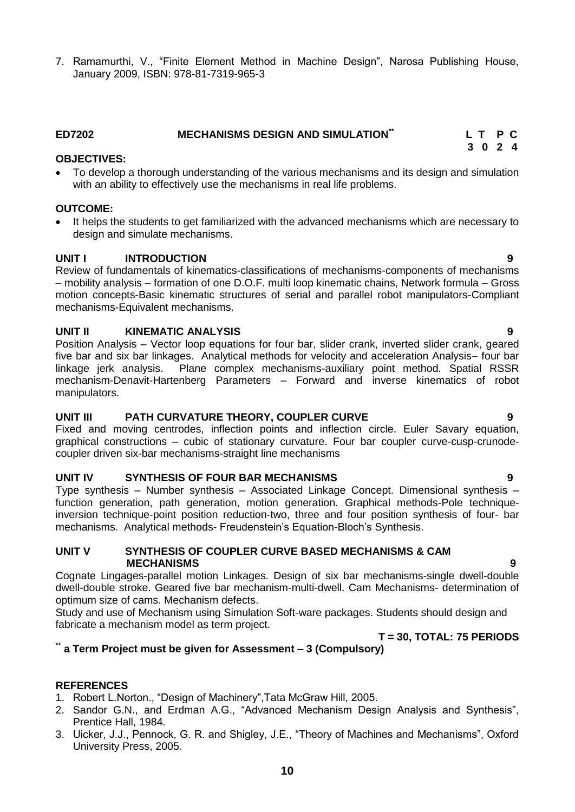**10**

7. Ramamurthi, V., "Finite Element Method in Machine Design", Narosa Publishing House, January 2009, ISBN: 978-81-7319-965-3

### <span id="page-9-0"></span>**ED7202 MECHANISMS DESIGN AND SIMULATION\*\* L T P C 3 0 2 4**

# **OBJECTIVES:**

 To develop a thorough understanding of the various mechanisms and its design and simulation with an ability to effectively use the mechanisms in real life problems.

# **OUTCOME:**

• It helps the students to get familiarized with the advanced mechanisms which are necessary to design and simulate mechanisms.

# **UNIT I INTRODUCTION 9**

Review of fundamentals of kinematics-classifications of mechanisms-components of mechanisms – mobility analysis – formation of one D.O.F. multi loop kinematic chains, Network formula – Gross motion concepts-Basic kinematic structures of serial and parallel robot manipulators-Compliant mechanisms-Equivalent mechanisms.

### **UNIT II KINEMATIC ANALYSIS 9**

Position Analysis – Vector loop equations for four bar, slider crank, inverted slider crank, geared five bar and six bar linkages. Analytical methods for velocity and acceleration Analysis– four bar linkage jerk analysis. Plane complex mechanisms-auxiliary point method. Spatial RSSR mechanism-Denavit-Hartenberg Parameters – Forward and inverse kinematics of robot manipulators.

# **UNIT III PATH CURVATURE THEORY, COUPLER CURVE 9**

Fixed and moving centrodes, inflection points and inflection circle. Euler Savary equation, graphical constructions – cubic of stationary curvature. Four bar coupler curve-cusp-crunodecoupler driven six-bar mechanisms-straight line mechanisms

# **UNIT IV SYNTHESIS OF FOUR BAR MECHANISMS 9**

Type synthesis – Number synthesis – Associated Linkage Concept. Dimensional synthesis – function generation, path generation, motion generation. Graphical methods-Pole techniqueinversion technique-point position reduction-two, three and four position synthesis of four- bar mechanisms. Analytical methods- Freudenstein's Equation-Bloch's Synthesis.

### **UNIT V SYNTHESIS OF COUPLER CURVE BASED MECHANISMS & CAM MECHANISMS 9**

Cognate Lingages-parallel motion Linkages. Design of six bar mechanisms-single dwell-double dwell-double stroke. Geared five bar mechanism-multi-dwell. Cam Mechanisms- determination of optimum size of cams. Mechanism defects.

Study and use of Mechanism using Simulation Soft-ware packages. Students should design and fabricate a mechanism model as term project.

# **T = 30, TOTAL: 75 PERIODS**

# **\*\* a Term Project must be given for Assessment – 3 (Compulsory)**

# **REFERENCES**

- 1. Robert L.Norton., "Design of Machinery",Tata McGraw Hill, 2005.
- 2. Sandor G.N., and Erdman A.G., "Advanced Mechanism Design Analysis and Synthesis", Prentice Hall, 1984.
- 3. Uicker, J.J., Pennock, G. R. and Shigley, J.E., "Theory of Machines and Mechanisms", Oxford University Press, 2005.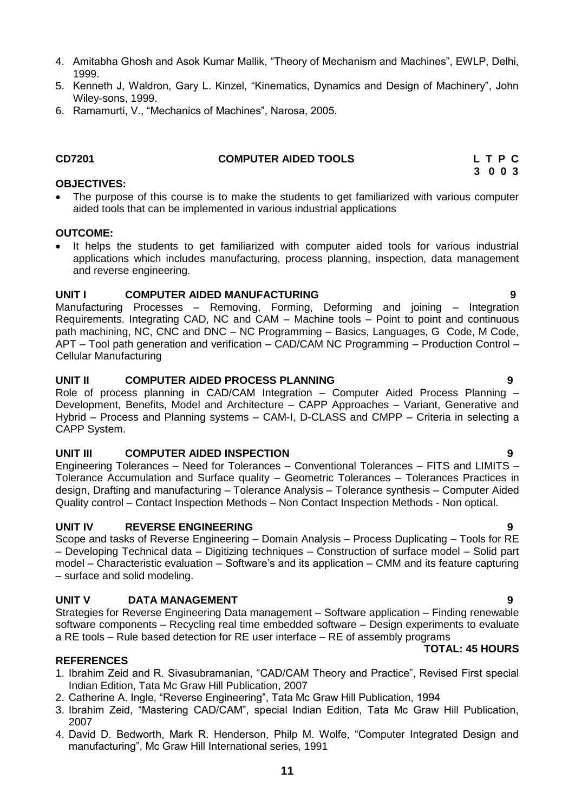- 4. Amitabha Ghosh and Asok Kumar Mallik, "Theory of Mechanism and Machines", EWLP, Delhi, 1999.
- 5. Kenneth J, Waldron, Gary L. Kinzel, "Kinematics, Dynamics and Design of Machinery", John Wiley-sons, 1999.
- 6. Ramamurti, V., "Mechanics of Machines", Narosa, 2005.

# **CD7201 COMPUTER AIDED TOOLS L T P C**

### **OBJECTIVES:**

 The purpose of this course is to make the students to get familiarized with various computer aided tools that can be implemented in various industrial applications

### **OUTCOME:**

 It helps the students to get familiarized with computer aided tools for various industrial applications which includes manufacturing, process planning, inspection, data management and reverse engineering.

# <span id="page-10-0"></span>**UNIT I COMPUTER AIDED MANUFACTURING 9**

Manufacturing Processes – Removing, Forming, Deforming and joining – Integration Requirements. Integrating CAD, NC and CAM – Machine tools – Point to point and continuous path machining, NC, CNC and DNC – NC Programming – Basics, Languages, G Code, M Code, APT – Tool path generation and verification – CAD/CAM NC Programming – Production Control – Cellular Manufacturing

# **UNIT II COMPUTER AIDED PROCESS PLANNING 9**

Role of process planning in CAD/CAM Integration – Computer Aided Process Planning – Development, Benefits, Model and Architecture – CAPP Approaches – Variant, Generative and Hybrid – Process and Planning systems – CAM-I, D-CLASS and CMPP – Criteria in selecting a CAPP System.

# **UNIT III COMPUTER AIDED INSPECTION 9**

Engineering Tolerances – Need for Tolerances – Conventional Tolerances – FITS and LIMITS – Tolerance Accumulation and Surface quality – Geometric Tolerances – Tolerances Practices in design, Drafting and manufacturing – Tolerance Analysis – Tolerance synthesis – Computer Aided Quality control – Contact Inspection Methods – Non Contact Inspection Methods - Non optical.

# **UNIT IV REVERSE ENGINEERING 9**

Scope and tasks of Reverse Engineering – Domain Analysis – Process Duplicating – Tools for RE – Developing Technical data – Digitizing techniques – Construction of surface model – Solid part model – Characteristic evaluation – Software's and its application – CMM and its feature capturing – surface and solid modeling.

# **UNIT V DATA MANAGEMENT 9**

Strategies for Reverse Engineering Data management – Software application – Finding renewable software components – Recycling real time embedded software – Design experiments to evaluate a RE tools – Rule based detection for RE user interface – RE of assembly programs

# **REFERENCES**

- 1. Ibrahim Zeid and R. Sivasubramanian, "CAD/CAM Theory and Practice", Revised First special Indian Edition, Tata Mc Graw Hill Publication, 2007
- 2. Catherine A. Ingle, "Reverse Engineering", Tata Mc Graw Hill Publication, 1994
- 3. Ibrahim Zeid, "Mastering CAD/CAM", special Indian Edition, Tata Mc Graw Hill Publication, 2007
- 4. David D. Bedworth, Mark R. Henderson, Philp M. Wolfe, "Computer Integrated Design and manufacturing", Mc Graw Hill International series, 1991

**TOTAL: 45 HOURS**

 **3 0 0 3**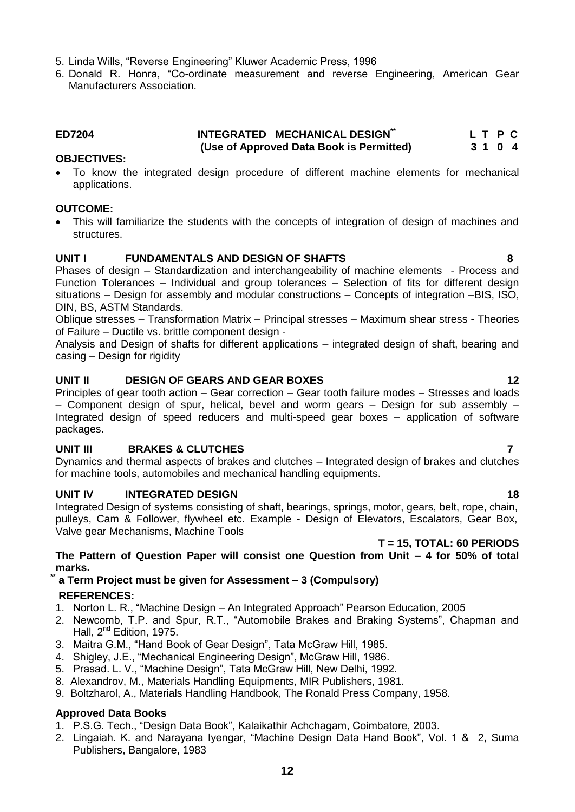- 5. Linda Wills, "Reverse Engineering" Kluwer Academic Press, 1996
- 6. Donald R. Honra, "Co-ordinate measurement and reverse Engineering, American Gear Manufacturers Association.

### <span id="page-11-0"></span>**ED7204 INTEGRATED MECHANICAL DESIGN\*\* L T P C (Use of Approved Data Book is Permitted) 3 1 0 4**

### **OBJECTIVES:**

 To know the integrated design procedure of different machine elements for mechanical applications.

### **OUTCOME:**

 This will familiarize the students with the concepts of integration of design of machines and structures.

### **UNIT I FUNDAMENTALS AND DESIGN OF SHAFTS 8**

Phases of design – Standardization and interchangeability of machine elements - Process and Function Tolerances – Individual and group tolerances – Selection of fits for different design situations – Design for assembly and modular constructions – Concepts of integration –BIS, ISO, DIN, BS, ASTM Standards.

Oblique stresses – Transformation Matrix – Principal stresses – Maximum shear stress - Theories of Failure – Ductile vs. brittle component design -

Analysis and Design of shafts for different applications – integrated design of shaft, bearing and casing – Design for rigidity

# **UNIT II** DESIGN OF GEARS AND GEAR BOXES 12

Principles of gear tooth action – Gear correction – Gear tooth failure modes – Stresses and loads – Component design of spur, helical, bevel and worm gears – Design for sub assembly – Integrated design of speed reducers and multi-speed gear boxes – application of software packages.

# **UNIT III BRAKES & CLUTCHES 7**

Dynamics and thermal aspects of brakes and clutches – Integrated design of brakes and clutches for machine tools, automobiles and mechanical handling equipments.

# **UNIT IV INTEGRATED DESIGN 18**

Integrated Design of systems consisting of shaft, bearings, springs, motor, gears, belt, rope, chain, pulleys, Cam & Follower, flywheel etc. Example - Design of Elevators, Escalators, Gear Box, Valve gear Mechanisms, Machine Tools

### **T = 15, TOTAL: 60 PERIODS**

### **The Pattern of Question Paper will consist one Question from Unit – 4 for 50% of total marks.**

# **\*\* a Term Project must be given for Assessment – 3 (Compulsory) REFERENCES:**

- 1. Norton L. R., "Machine Design An Integrated Approach" Pearson Education, 2005
- 2. Newcomb, T.P. and Spur, R.T., "Automobile Brakes and Braking Systems", Chapman and Hall, 2<sup>nd</sup> Edition, 1975.
- 3. Maitra G.M., "Hand Book of Gear Design", Tata McGraw Hill, 1985.
- 4. Shigley, J.E., "Mechanical Engineering Design", McGraw Hill, 1986.
- 5. Prasad. L. V., "Machine Design", Tata McGraw Hill, New Delhi, 1992.
- 8. Alexandrov, M., Materials Handling Equipments, MIR Publishers, 1981.
- 9. Boltzharol, A., Materials Handling Handbook, The Ronald Press Company, 1958.

### **Approved Data Books**

- 1. P.S.G. Tech., "Design Data Book", Kalaikathir Achchagam, Coimbatore, 2003.
- 2. Lingaiah. K. and Narayana Iyengar, "Machine Design Data Hand Book", Vol. 1 & 2, Suma Publishers, Bangalore, 1983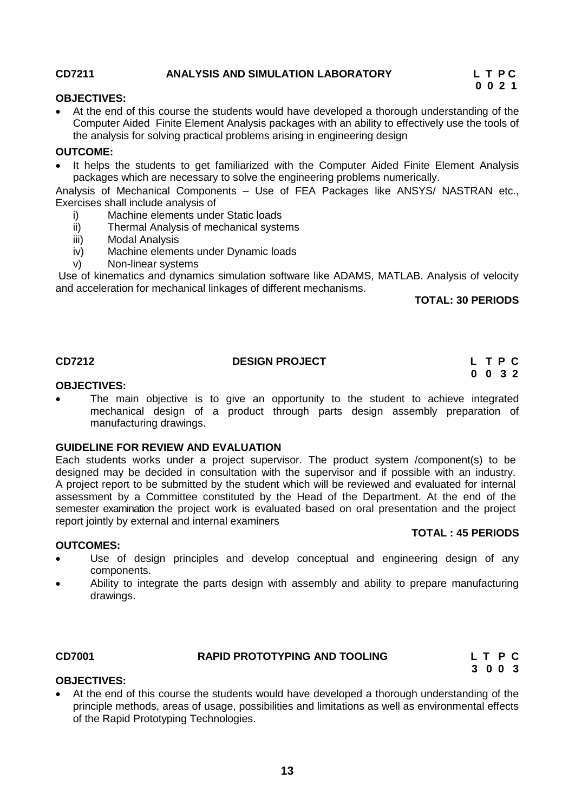### <span id="page-12-0"></span>**CD7211 ANALYSIS AND SIMULATION LABORATORY L T P C**

 **0 0 2 1**

### **OBJECTIVES:**

 At the end of this course the students would have developed a thorough understanding of the Computer Aided Finite Element Analysis packages with an ability to effectively use the tools of the analysis for solving practical problems arising in engineering design

### **OUTCOME:**

 It helps the students to get familiarized with the Computer Aided Finite Element Analysis packages which are necessary to solve the engineering problems numerically.

Analysis of Mechanical Components – Use of FEA Packages like ANSYS/ NASTRAN etc., Exercises shall include analysis of

- i) Machine elements under Static loads
- ii) Thermal Analysis of mechanical systems
- iii) Modal Analysis
- iv) Machine elements under Dynamic loads
- v) Non-linear systems

Use of kinematics and dynamics simulation software like ADAMS, MATLAB. Analysis of velocity and acceleration for mechanical linkages of different mechanisms.

### **TOTAL: 30 PERIODS**

### **CD7212 DESIGN PROJECT L T P C**

# **0 0 3 2**

### **OBJECTIVES:**

 The main objective is to give an opportunity to the student to achieve integrated mechanical design of a product through parts design assembly preparation of manufacturing drawings.

### **GUIDELINE FOR REVIEW AND EVALUATION**

Each students works under a project supervisor. The product system /component(s) to be designed may be decided in consultation with the supervisor and if possible with an industry. A project report to be submitted by the student which will be reviewed and evaluated for internal assessment by a Committee constituted by the Head of the Department. At the end of the semester examination the project work is evaluated based on oral presentation and the project report jointly by external and internal examiners **TOTAL : 45 PERIODS**

### **OUTCOMES:**

- Use of design principles and develop conceptual and engineering design of any components.
- Ability to integrate the parts design with assembly and ability to prepare manufacturing drawings.

# <span id="page-12-1"></span>**CD7001 RAPID PROTOTYPING AND TOOLING L T P C**

 **3 0 0 3**

### **OBJECTIVES:**

 At the end of this course the students would have developed a thorough understanding of the principle methods, areas of usage, possibilities and limitations as well as environmental effects of the Rapid Prototyping Technologies.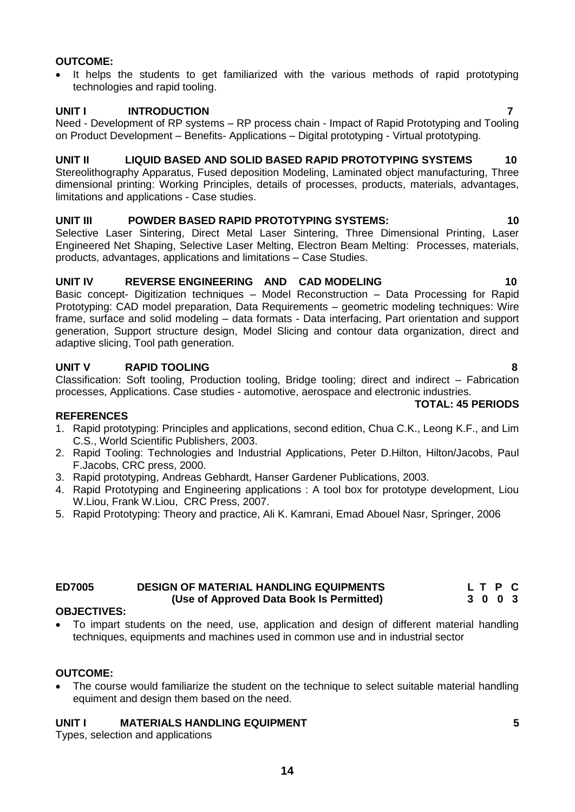**14**

# **OUTCOME:**

• It helps the students to get familiarized with the various methods of rapid prototyping technologies and rapid tooling.

# **UNIT I INTRODUCTION 7**

Need - Development of RP systems – RP process chain - Impact of Rapid Prototyping and Tooling on Product Development – Benefits- Applications – Digital prototyping - Virtual prototyping.

# **UNIT II LIQUID BASED AND SOLID BASED RAPID PROTOTYPING SYSTEMS 10**

Stereolithography Apparatus, Fused deposition Modeling, Laminated object manufacturing, Three dimensional printing: Working Principles, details of processes, products, materials, advantages, limitations and applications - Case studies.

# **UNIT III POWDER BASED RAPID PROTOTYPING SYSTEMS: 10**

Selective Laser Sintering, Direct Metal Laser Sintering, Three Dimensional Printing, Laser Engineered Net Shaping, Selective Laser Melting, Electron Beam Melting: Processes, materials, products, advantages, applications and limitations – Case Studies.

# **UNIT IV REVERSE ENGINEERING AND CAD MODELING 10**

Basic concept- Digitization techniques – Model Reconstruction – Data Processing for Rapid Prototyping: CAD model preparation, Data Requirements – geometric modeling techniques: Wire frame, surface and solid modeling – data formats - Data interfacing, Part orientation and support generation, Support structure design, Model Slicing and contour data organization, direct and adaptive slicing, Tool path generation.

# **UNIT V RAPID TOOLING 8**

Classification: Soft tooling, Production tooling, Bridge tooling; direct and indirect – Fabrication processes, Applications. Case studies - automotive, aerospace and electronic industries.

# **REFERENCES**

- 1. Rapid prototyping: Principles and applications, second edition, Chua C.K., Leong K.F., and Lim C.S., World Scientific Publishers, 2003.
- 2. Rapid Tooling: Technologies and Industrial Applications, Peter D.Hilton, Hilton/Jacobs, Paul F.Jacobs, CRC press, 2000.
- 3. Rapid prototyping, Andreas Gebhardt, Hanser Gardener Publications, 2003.
- 4. Rapid Prototyping and Engineering applications : A tool box for prototype development, Liou W.Liou, Frank W.Liou, CRC Press, 2007.
- 5. Rapid Prototyping: Theory and practice, Ali K. Kamrani, Emad Abouel Nasr, Springer, 2006

# <span id="page-13-0"></span>**ED7005 DESIGN OF MATERIAL HANDLING EQUIPMENTS L T P C (Use of Approved Data Book Is Permitted) 3 0 0 3**

# **OBJECTIVES:**

 To impart students on the need, use, application and design of different material handling techniques, equipments and machines used in common use and in industrial sector

# **OUTCOME:**

 The course would familiarize the student on the technique to select suitable material handling equiment and design them based on the need.

# **UNIT I MATERIALS HANDLING EQUIPMENT 5**

Types, selection and applications

**TOTAL: 45 PERIODS**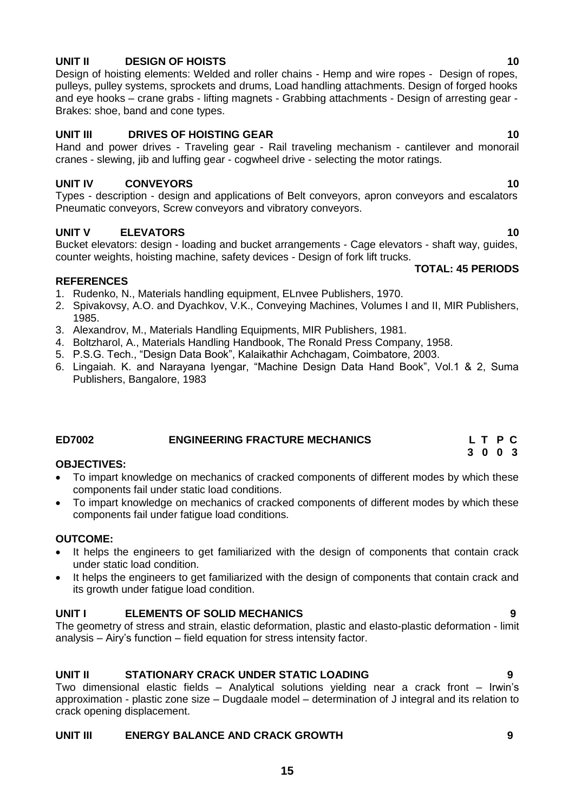# **15**

# **UNIT II DESIGN OF HOISTS 10**

Design of hoisting elements: Welded and roller chains - Hemp and wire ropes - Design of ropes, pulleys, pulley systems, sprockets and drums, Load handling attachments. Design of forged hooks and eye hooks – crane grabs - lifting magnets - Grabbing attachments - Design of arresting gear - Brakes: shoe, band and cone types.

# **UNIT III DRIVES OF HOISTING GEAR** 10

Hand and power drives - Traveling gear - Rail traveling mechanism - cantilever and monorail cranes - slewing, jib and luffing gear - cogwheel drive - selecting the motor ratings.

# **UNIT IV CONVEYORS** 10

Types - description - design and applications of Belt conveyors, apron conveyors and escalators Pneumatic conveyors, Screw conveyors and vibratory conveyors.

# **UNIT V ELEVATORS 10**

Bucket elevators: design - loading and bucket arrangements - Cage elevators - shaft way, guides, counter weights, hoisting machine, safety devices - Design of fork lift trucks.  **TOTAL: 45 PERIODS**

# **REFERENCES**

1. Rudenko, N., Materials handling equipment, ELnvee Publishers, 1970.

- 2. Spivakovsy, A.O. and Dyachkov, V.K., Conveying Machines, Volumes I and II, MIR Publishers, 1985.
- 3. Alexandrov, M., Materials Handling Equipments, MIR Publishers, 1981.
- 4. Boltzharol, A., Materials Handling Handbook, The Ronald Press Company, 1958.
- 5. P.S.G. Tech., "Design Data Book", Kalaikathir Achchagam, Coimbatore, 2003.
- 6. Lingaiah. K. and Narayana Iyengar, "Machine Design Data Hand Book", Vol.1 & 2, Suma Publishers, Bangalore, 1983

# <span id="page-14-0"></span>**ED7002 ENGINEERING FRACTURE MECHANICS L T P C**

# **OBJECTIVES:**

- To impart knowledge on mechanics of cracked components of different modes by which these components fail under static load conditions.
- To impart knowledge on mechanics of cracked components of different modes by which these components fail under fatigue load conditions.

# **OUTCOME:**

- It helps the engineers to get familiarized with the design of components that contain crack under static load condition.
- It helps the engineers to get familiarized with the design of components that contain crack and its growth under fatigue load condition.

# **UNIT I ELEMENTS OF SOLID MECHANICS 9**

The geometry of stress and strain, elastic deformation, plastic and elasto-plastic deformation - limit analysis – Airy's function – field equation for stress intensity factor.

# **UNIT II STATIONARY CRACK UNDER STATIC LOADING 9**

Two dimensional elastic fields – Analytical solutions yielding near a crack front – Irwin's approximation - plastic zone size – Dugdaale model – determination of J integral and its relation to crack opening displacement.

# **UNIT III ENERGY BALANCE AND CRACK GROWTH 9**

# **3 0 0 3**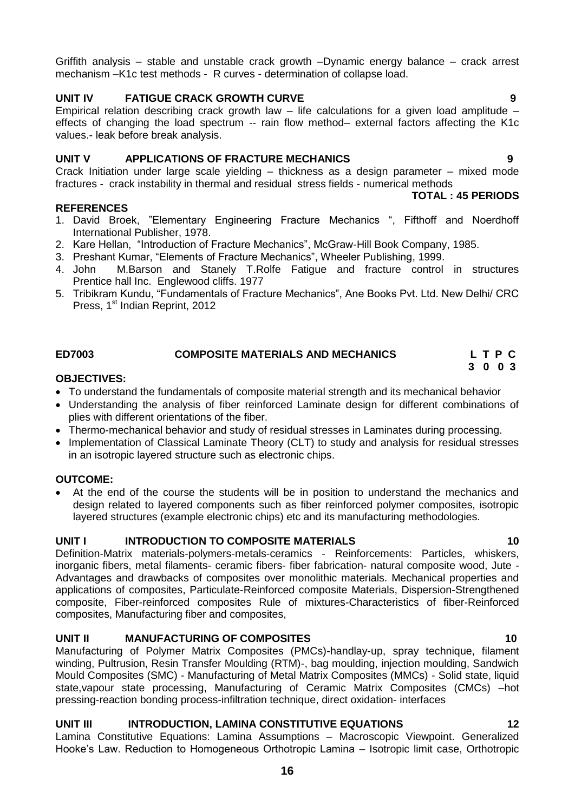Griffith analysis – stable and unstable crack growth –Dynamic energy balance – crack arrest mechanism –K1c test methods - R curves - determination of collapse load.

# **UNIT IV FATIGUE CRACK GROWTH CURVE 9**

Empirical relation describing crack growth law  $-$  life calculations for a given load amplitude  $$ effects of changing the load spectrum -- rain flow method– external factors affecting the K1c values.- leak before break analysis.

# **UNIT V APPLICATIONS OF FRACTURE MECHANICS 9**

Crack Initiation under large scale yielding – thickness as a design parameter – mixed mode fractures - crack instability in thermal and residual stress fields - numerical methods

### **TOTAL : 45 PERIODS**

- 1. David Broek, "Elementary Engineering Fracture Mechanics ", Fifthoff and Noerdhoff International Publisher, 1978.
- 2. Kare Hellan, "Introduction of Fracture Mechanics", McGraw-Hill Book Company, 1985.
- 3. Preshant Kumar, "Elements of Fracture Mechanics", Wheeler Publishing, 1999.
- 4. John M.Barson and Stanely T.Rolfe Fatigue and fracture control in structures Prentice hall Inc. Englewood cliffs. 1977
- 5. Tribikram Kundu, "Fundamentals of Fracture Mechanics", Ane Books Pvt. Ltd. New Delhi/ CRC Press, 1<sup>st</sup> Indian Reprint, 2012

# **ED7003 COMPOSITE MATERIALS AND MECHANICS L T P C**

# **OBJECTIVES:**

**REFERENCES**

- To understand the fundamentals of composite material strength and its mechanical behavior
- Understanding the analysis of fiber reinforced Laminate design for different combinations of plies with different orientations of the fiber.

<span id="page-15-0"></span> **3 0 0 3** 

- Thermo-mechanical behavior and study of residual stresses in Laminates during processing.
- Implementation of Classical Laminate Theory (CLT) to study and analysis for residual stresses in an isotropic layered structure such as electronic chips.

### **OUTCOME:**

 At the end of the course the students will be in position to understand the mechanics and design related to layered components such as fiber reinforced polymer composites, isotropic layered structures (example electronic chips) etc and its manufacturing methodologies.

# **UNIT I** INTRODUCTION TO COMPOSITE MATERIALS 10

Definition-Matrix materials-polymers-metals-ceramics - Reinforcements: Particles, whiskers, inorganic fibers, metal filaments- ceramic fibers- fiber fabrication- natural composite wood, Jute - Advantages and drawbacks of composites over monolithic materials. Mechanical properties and applications of composites, Particulate-Reinforced composite Materials, Dispersion-Strengthened composite, Fiber-reinforced composites Rule of mixtures-Characteristics of fiber-Reinforced composites, Manufacturing fiber and composites,

### **UNIT II MANUFACTURING OF COMPOSITES 10**

Manufacturing of Polymer Matrix Composites (PMCs)-handlay-up, spray technique, filament winding, Pultrusion, Resin Transfer Moulding (RTM)-, bag moulding, injection moulding, Sandwich Mould Composites (SMC) - Manufacturing of Metal Matrix Composites (MMCs) - Solid state, liquid state,vapour state processing, Manufacturing of Ceramic Matrix Composites (CMCs) –hot pressing-reaction bonding process-infiltration technique, direct oxidation- interfaces

# **UNIT III INTRODUCTION, LAMINA CONSTITUTIVE EQUATIONS 12**

Lamina Constitutive Equations: Lamina Assumptions – Macroscopic Viewpoint. Generalized Hooke's Law. Reduction to Homogeneous Orthotropic Lamina – Isotropic limit case, Orthotropic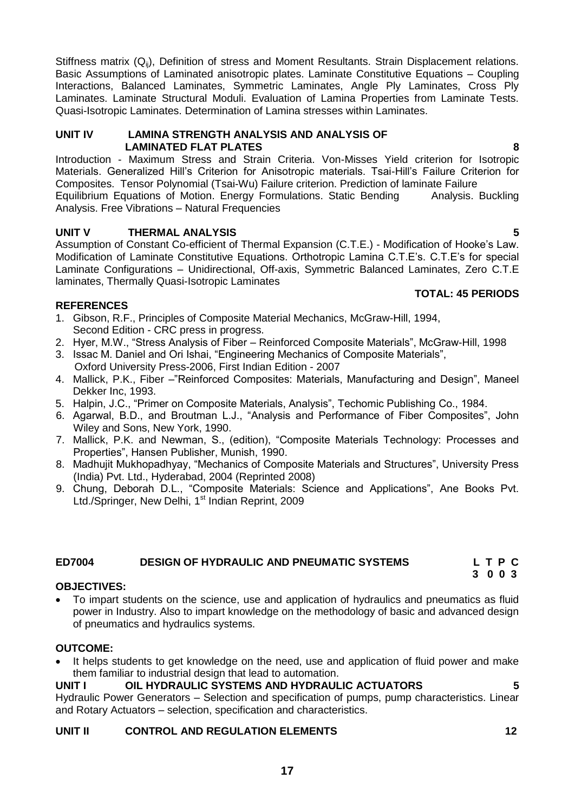Stiffness matrix (Q<sub>ii</sub>), Definition of stress and Moment Resultants. Strain Displacement relations. Basic Assumptions of Laminated anisotropic plates. Laminate Constitutive Equations – Coupling Interactions, Balanced Laminates, Symmetric Laminates, Angle Ply Laminates, Cross Ply Laminates. Laminate Structural Moduli. Evaluation of Lamina Properties from Laminate Tests. Quasi-Isotropic Laminates. Determination of Lamina stresses within Laminates.

### **UNIT IV LAMINA STRENGTH ANALYSIS AND ANALYSIS OF LAMINATED FLAT PLATES 8**

Introduction - Maximum Stress and Strain Criteria. Von-Misses Yield criterion for Isotropic Materials. Generalized Hill's Criterion for Anisotropic materials. Tsai-Hill's Failure Criterion for Composites. Tensor Polynomial (Tsai-Wu) Failure criterion. Prediction of laminate Failure Equilibrium Equations of Motion. Energy Formulations. Static Bending Analysis. Buckling Analysis. Free Vibrations – Natural Frequencies

# **UNIT V THERMAL ANALYSIS 5**

Assumption of Constant Co-efficient of Thermal Expansion (C.T.E.) - Modification of Hooke's Law. Modification of Laminate Constitutive Equations. Orthotropic Lamina C.T.E's. C.T.E's for special Laminate Configurations – Unidirectional, Off-axis, Symmetric Balanced Laminates, Zero C.T.E laminates, Thermally Quasi-Isotropic Laminates

# **TOTAL: 45 PERIODS**

# **REFERENCES**

- 1. Gibson, R.F., Principles of Composite Material Mechanics, McGraw-Hill, 1994, Second Edition - CRC press in progress.
- 2. Hyer, M.W., "Stress Analysis of Fiber Reinforced Composite Materials", McGraw-Hill, 1998
- 3. Issac M. Daniel and Ori Ishai, "Engineering Mechanics of Composite Materials", Oxford University Press-2006, First Indian Edition - 2007
- 4. Mallick, P.K., Fiber –"Reinforced Composites: Materials, Manufacturing and Design", Maneel Dekker Inc, 1993.
- 5. Halpin, J.C., "Primer on Composite Materials, Analysis", Techomic Publishing Co., 1984.
- 6. Agarwal, B.D., and Broutman L.J., "Analysis and Performance of Fiber Composites", John Wiley and Sons, New York, 1990.
- 7. Mallick, P.K. and Newman, S., (edition), "Composite Materials Technology: Processes and Properties", Hansen Publisher, Munish, 1990.
- 8. Madhujit Mukhopadhyay, "Mechanics of Composite Materials and Structures", University Press (India) Pvt. Ltd., Hyderabad, 2004 (Reprinted 2008)
- 9. Chung, Deborah D.L., "Composite Materials: Science and Applications", Ane Books Pvt. Ltd./Springer, New Delhi, 1<sup>st</sup> Indian Reprint, 2009

# <span id="page-16-0"></span>**ED7004 DESIGN OF HYDRAULIC AND PNEUMATIC SYSTEMS L T P C**

# **OBJECTIVES:**

 To impart students on the science, use and application of hydraulics and pneumatics as fluid power in Industry. Also to impart knowledge on the methodology of basic and advanced design of pneumatics and hydraulics systems.

# **OUTCOME:**

 It helps students to get knowledge on the need, use and application of fluid power and make them familiar to industrial design that lead to automation.

# **UNIT I OIL HYDRAULIC SYSTEMS AND HYDRAULIC ACTUATORS 5**

Hydraulic Power Generators – Selection and specification of pumps, pump characteristics. Linear and Rotary Actuators – selection, specification and characteristics.

# **UNIT II CONTROL AND REGULATION ELEMENTS 12**

**3 0 0 3**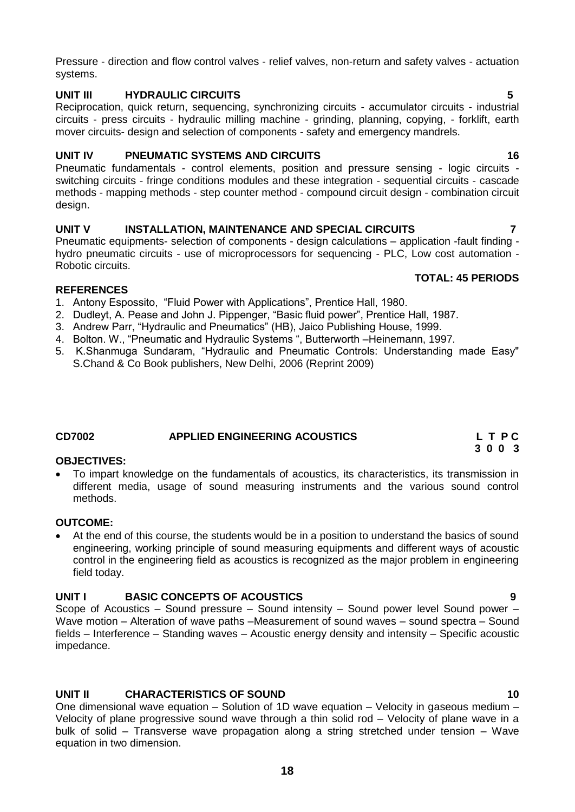Pressure - direction and flow control valves - relief valves, non-return and safety valves - actuation systems.

# **UNIT III HYDRAULIC CIRCUITS 5**

Reciprocation, quick return, sequencing, synchronizing circuits - accumulator circuits - industrial circuits - press circuits - hydraulic milling machine - grinding, planning, copying, - forklift, earth mover circuits- design and selection of components - safety and emergency mandrels.

# **UNIT IV PNEUMATIC SYSTEMS AND CIRCUITS 46 16**

Pneumatic fundamentals - control elements, position and pressure sensing - logic circuits switching circuits - fringe conditions modules and these integration - sequential circuits - cascade methods - mapping methods - step counter method - compound circuit design - combination circuit design.

# **UNIT V INSTALLATION, MAINTENANCE AND SPECIAL CIRCUITS 7**

Pneumatic equipments- selection of components - design calculations – application -fault finding hydro pneumatic circuits - use of microprocessors for sequencing - PLC, Low cost automation - Robotic circuits.

# **REFERENCES**

- 1. Antony Espossito, "Fluid Power with Applications", Prentice Hall, 1980.
- 2. Dudleyt, A. Pease and John J. Pippenger, "Basic fluid power", Prentice Hall, 1987.
- 3. Andrew Parr, "Hydraulic and Pneumatics" (HB), Jaico Publishing House, 1999.
- 4. Bolton. W., "Pneumatic and Hydraulic Systems ", Butterworth –Heinemann, 1997.
- 5. K.Shanmuga Sundaram, "Hydraulic and Pneumatic Controls: Understanding made Easy" S.Chand & Co Book publishers, New Delhi, 2006 (Reprint 2009)

# <span id="page-17-0"></span>**CD7002 APPLIED ENGINEERING ACOUSTICS L T P C**

# **OBJECTIVES:**

 To impart knowledge on the fundamentals of acoustics, its characteristics, its transmission in different media, usage of sound measuring instruments and the various sound control methods.

### **OUTCOME:**

 At the end of this course, the students would be in a position to understand the basics of sound engineering, working principle of sound measuring equipments and different ways of acoustic control in the engineering field as acoustics is recognized as the major problem in engineering field today.

# **UNIT I BASIC CONCEPTS OF ACOUSTICS 9**

Scope of Acoustics – Sound pressure – Sound intensity – Sound power level Sound power – Wave motion – Alteration of wave paths –Measurement of sound waves – sound spectra – Sound fields – Interference – Standing waves – Acoustic energy density and intensity – Specific acoustic impedance.

# **UNIT II CHARACTERISTICS OF SOUND 10** 10

One dimensional wave equation – Solution of 1D wave equation – Velocity in gaseous medium – Velocity of plane progressive sound wave through a thin solid rod – Velocity of plane wave in a bulk of solid – Transverse wave propagation along a string stretched under tension – Wave equation in two dimension.

### **TOTAL: 45 PERIODS**

# **3 0 0 3**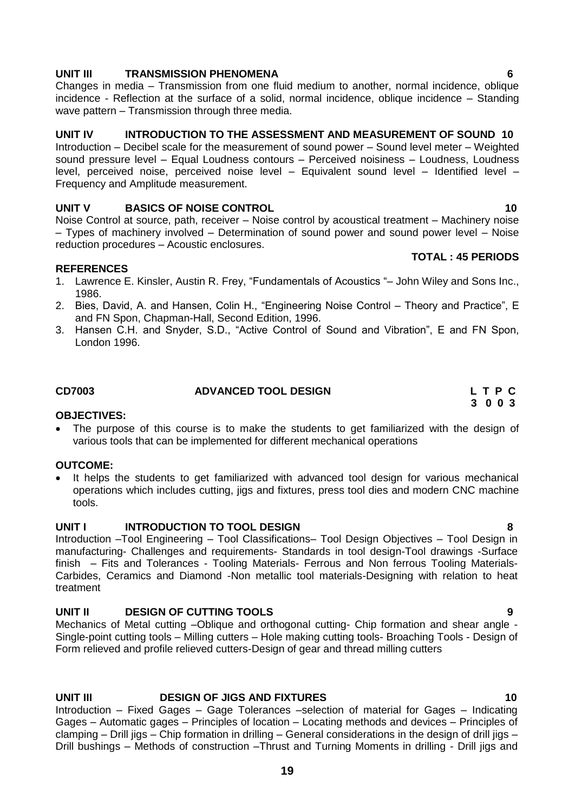# **UNIT III TRANSMISSION PHENOMENA 6**

Changes in media – Transmission from one fluid medium to another, normal incidence, oblique incidence - Reflection at the surface of a solid, normal incidence, oblique incidence – Standing wave pattern – Transmission through three media.

# **UNIT IV INTRODUCTION TO THE ASSESSMENT AND MEASUREMENT OF SOUND 10**

Introduction – Decibel scale for the measurement of sound power – Sound level meter – Weighted sound pressure level – Equal Loudness contours – Perceived noisiness – Loudness, Loudness level, perceived noise, perceived noise level – Equivalent sound level – Identified level – Frequency and Amplitude measurement.

# **UNIT V BASICS OF NOISE CONTROL 10** 10

Noise Control at source, path, receiver – Noise control by acoustical treatment – Machinery noise – Types of machinery involved – Determination of sound power and sound power level – Noise reduction procedures – Acoustic enclosures.

# **REFERENCES**

- 1. Lawrence E. Kinsler, Austin R. Frey, "Fundamentals of Acoustics "– John Wiley and Sons Inc., 1986.
- 2. Bies, David, A. and Hansen, Colin H., "Engineering Noise Control Theory and Practice", E and FN Spon, Chapman-Hall, Second Edition, 1996.
- 3. Hansen C.H. and Snyder, S.D., "Active Control of Sound and Vibration", E and FN Spon, London 1996.

# <span id="page-18-0"></span>**CD7003 ADVANCED TOOL DESIGN L T P C**

# **OBJECTIVES:**

 The purpose of this course is to make the students to get familiarized with the design of various tools that can be implemented for different mechanical operations

# **OUTCOME:**

• It helps the students to get familiarized with advanced tool design for various mechanical operations which includes cutting, jigs and fixtures, press tool dies and modern CNC machine tools.

# **UNIT I INTRODUCTION TO TOOL DESIGN 8**

Introduction –Tool Engineering – Tool Classifications– Tool Design Objectives – Tool Design in manufacturing- Challenges and requirements- Standards in tool design-Tool drawings -Surface finish – Fits and Tolerances - Tooling Materials- Ferrous and Non ferrous Tooling Materials-Carbides, Ceramics and Diamond -Non metallic tool materials-Designing with relation to heat treatment

# **UNIT II DESIGN OF CUTTING TOOLS 9**

Mechanics of Metal cutting –Oblique and orthogonal cutting- Chip formation and shear angle - Single-point cutting tools – Milling cutters – Hole making cutting tools- Broaching Tools - Design of Form relieved and profile relieved cutters-Design of gear and thread milling cutters

# **UNIT III DESIGN OF JIGS AND FIXTURES 10**

Introduction – Fixed Gages – Gage Tolerances –selection of material for Gages – Indicating Gages – Automatic gages – Principles of location – Locating methods and devices – Principles of clamping – Drill jigs – Chip formation in drilling – General considerations in the design of drill jigs – Drill bushings – Methods of construction –Thrust and Turning Moments in drilling - Drill jigs and

# **3 0 0 3**

**TOTAL : 45 PERIODS**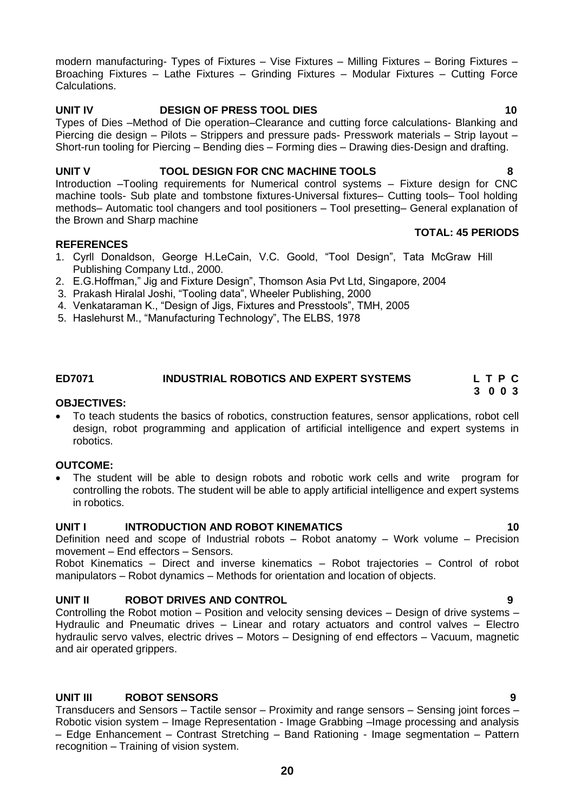modern manufacturing- Types of Fixtures – Vise Fixtures – Milling Fixtures – Boring Fixtures – Broaching Fixtures – Lathe Fixtures – Grinding Fixtures – Modular Fixtures – Cutting Force Calculations.

# **UNIT IV DESIGN OF PRESS TOOL DIES 10**

Types of Dies –Method of Die operation–Clearance and cutting force calculations- Blanking and Piercing die design – Pilots – Strippers and pressure pads- Presswork materials – Strip layout – Short-run tooling for Piercing – Bending dies – Forming dies – Drawing dies-Design and drafting.

# **UNIT V TOOL DESIGN FOR CNC MACHINE TOOLS 8**

Introduction –Tooling requirements for Numerical control systems – Fixture design for CNC machine tools- Sub plate and tombstone fixtures-Universal fixtures– Cutting tools– Tool holding methods– Automatic tool changers and tool positioners – Tool presetting– General explanation of the Brown and Sharp machine

# **REFERENCES**

- 1. Cyrll Donaldson, George H.LeCain, V.C. Goold, "Tool Design", Tata McGraw Hill Publishing Company Ltd., 2000.
- 2. E.G.Hoffman," Jig and Fixture Design", Thomson Asia Pvt Ltd, Singapore, 2004
- 3. Prakash Hiralal Joshi, "Tooling data", Wheeler Publishing, 2000
- 4. Venkataraman K., "Design of Jigs, Fixtures and Presstools", TMH, 2005
- 5. Haslehurst M., "Manufacturing Technology", The ELBS, 1978

# **ED7071 INDUSTRIAL ROBOTICS AND EXPERT SYSTEMS L T P C**

### **OBJECTIVES:**

 To teach students the basics of robotics, construction features, sensor applications, robot cell design, robot programming and application of artificial intelligence and expert systems in robotics.

# **OUTCOME:**

 The student will be able to design robots and robotic work cells and write program for controlling the robots. The student will be able to apply artificial intelligence and expert systems in robotics.

# **UNIT I INTRODUCTION AND ROBOT KINEMATICS 10**

Definition need and scope of Industrial robots – Robot anatomy – Work volume – Precision movement – End effectors – Sensors.

Robot Kinematics – Direct and inverse kinematics – Robot trajectories – Control of robot manipulators – Robot dynamics – Methods for orientation and location of objects.

# **UNIT II ROBOT DRIVES AND CONTROL 9**

Controlling the Robot motion – Position and velocity sensing devices – Design of drive systems – Hydraulic and Pneumatic drives – Linear and rotary actuators and control valves – Electro hydraulic servo valves, electric drives – Motors – Designing of end effectors – Vacuum, magnetic and air operated grippers.

# **UNIT III ROBOT SENSORS 9**

Transducers and Sensors – Tactile sensor – Proximity and range sensors – Sensing joint forces – Robotic vision system – Image Representation - Image Grabbing –Image processing and analysis – Edge Enhancement – Contrast Stretching – Band Rationing - Image segmentation – Pattern recognition – Training of vision system.

### **TOTAL: 45 PERIODS**

# <span id="page-19-0"></span> **3 0 0 3**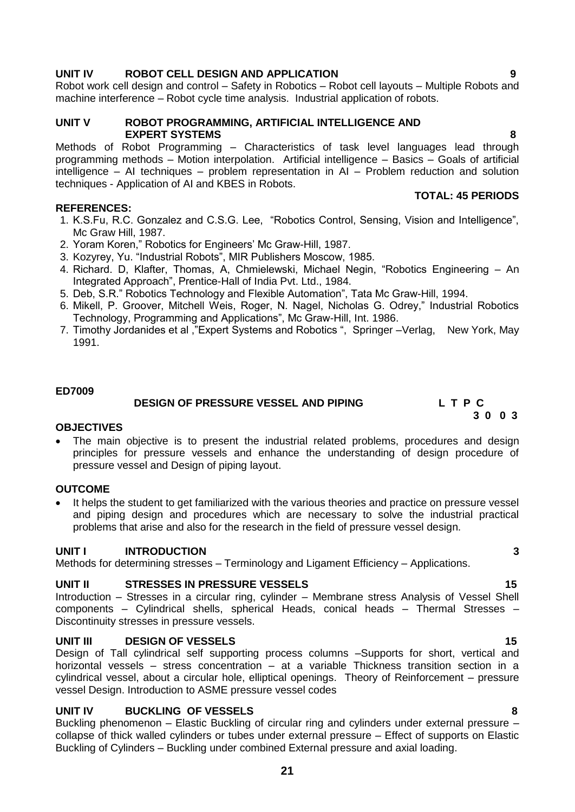# **UNIT IV ROBOT CELL DESIGN AND APPLICATION 9**

Robot work cell design and control – Safety in Robotics – Robot cell layouts – Multiple Robots and machine interference – Robot cycle time analysis. Industrial application of robots.

### **UNIT V ROBOT PROGRAMMING, ARTIFICIAL INTELLIGENCE AND EXPERT SYSTEMS 8**

Methods of Robot Programming – Characteristics of task level languages lead through programming methods – Motion interpolation. Artificial intelligence – Basics – Goals of artificial intelligence – AI techniques – problem representation in AI – Problem reduction and solution techniques - Application of AI and KBES in Robots.

# **REFERENCES:**

- 1. K.S.Fu, R.C. Gonzalez and C.S.G. Lee, "Robotics Control, Sensing, Vision and Intelligence", Mc Graw Hill, 1987.
- 2. Yoram Koren," Robotics for Engineers' Mc Graw-Hill, 1987.
- 3. Kozyrey, Yu. "Industrial Robots", MIR Publishers Moscow, 1985.
- 4. Richard. D, Klafter, Thomas, A, Chmielewski, Michael Negin, "Robotics Engineering An Integrated Approach", Prentice-Hall of India Pvt. Ltd., 1984.
- 5. Deb, S.R." Robotics Technology and Flexible Automation", Tata Mc Graw-Hill, 1994.
- 6. Mikell, P. Groover, Mitchell Weis, Roger, N. Nagel, Nicholas G. Odrey," Industrial Robotics Technology, Programming and Applications", Mc Graw-Hill, Int. 1986.
- 7. Timothy Jordanides et al ,"Expert Systems and Robotics ", Springer –Verlag, New York, May 1991.

### **ED7009**

# <span id="page-20-0"></span> **DESIGN OF PRESSURE VESSEL AND PIPING L T P C**

# **OBJECTIVES**

 The main objective is to present the industrial related problems, procedures and design principles for pressure vessels and enhance the understanding of design procedure of pressure vessel and Design of piping layout.

# **OUTCOME**

 It helps the student to get familiarized with the various theories and practice on pressure vessel and piping design and procedures which are necessary to solve the industrial practical problems that arise and also for the research in the field of pressure vessel design.

# **UNIT I INTRODUCTION 3**

Methods for determining stresses – Terminology and Ligament Efficiency – Applications.

# **UNIT II STRESSES IN PRESSURE VESSELS 15**

Introduction – Stresses in a circular ring, cylinder – Membrane stress Analysis of Vessel Shell components – Cylindrical shells, spherical Heads, conical heads – Thermal Stresses – Discontinuity stresses in pressure vessels.

# **UNIT III DESIGN OF VESSELS 15**

Design of Tall cylindrical self supporting process columns –Supports for short, vertical and horizontal vessels – stress concentration – at a variable Thickness transition section in a cylindrical vessel, about a circular hole, elliptical openings. Theory of Reinforcement – pressure vessel Design. Introduction to ASME pressure vessel codes

# **UNIT IV BUCKLING OF VESSELS 8**

Buckling phenomenon – Elastic Buckling of circular ring and cylinders under external pressure – collapse of thick walled cylinders or tubes under external pressure – Effect of supports on Elastic Buckling of Cylinders – Buckling under combined External pressure and axial loading.

 **3 0 0 3**

**TOTAL: 45 PERIODS**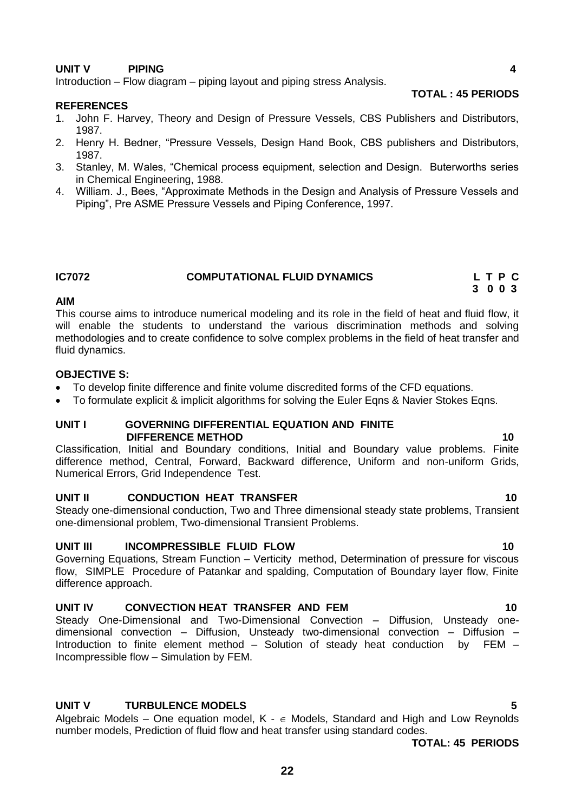# **UNIT V PIPING 4**

Introduction – Flow diagram – piping layout and piping stress Analysis.

### **REFERENCES**

- 1. John F. Harvey, Theory and Design of Pressure Vessels, CBS Publishers and Distributors, 1987.
- 2. Henry H. Bedner, "Pressure Vessels, Design Hand Book, CBS publishers and Distributors, 1987.
- 3. Stanley, M. Wales, "Chemical process equipment, selection and Design. Buterworths series in Chemical Engineering, 1988.
- 4. William. J., Bees, "Approximate Methods in the Design and Analysis of Pressure Vessels and Piping", Pre ASME Pressure Vessels and Piping Conference, 1997.

# **IC7072 COMPUTATIONAL FLUID DYNAMICS L T P C**

### **AIM**

This course aims to introduce numerical modeling and its role in the field of heat and fluid flow, it will enable the students to understand the various discrimination methods and solving methodologies and to create confidence to solve complex problems in the field of heat transfer and fluid dynamics.

 **3 0 0 3** 

# **OBJECTIVE S:**

- To develop finite difference and finite volume discredited forms of the CFD equations.
- To formulate explicit & implicit algorithms for solving the Euler Eqns & Navier Stokes Eqns.

### **UNIT I GOVERNING DIFFERENTIAL EQUATION AND FINITE DIFFERENCE METHOD** 10 **10**

Classification, Initial and Boundary conditions, Initial and Boundary value problems. Finite difference method, Central, Forward, Backward difference, Uniform and non-uniform Grids, Numerical Errors, Grid Independence Test.

# **UNIT II** CONDUCTION HEAT TRANSFER 10

Steady one-dimensional conduction, Two and Three dimensional steady state problems, Transient one-dimensional problem, Two-dimensional Transient Problems.

# **UNIT III INCOMPRESSIBLE FLUID FLOW 10**

Governing Equations, Stream Function – Verticity method, Determination of pressure for viscous flow, SIMPLE Procedure of Patankar and spalding, Computation of Boundary layer flow, Finite difference approach.

### **UNIT IV CONVECTION HEAT TRANSFER AND FEM 10**

Steady One-Dimensional and Two-Dimensional Convection – Diffusion, Unsteady onedimensional convection – Diffusion, Unsteady two-dimensional convection – Diffusion – Introduction to finite element method – Solution of steady heat conduction by FEM – Incompressible flow – Simulation by FEM.

# **UNIT V TURBULENCE MODELS 5**

Algebraic Models – One equation model,  $K - \epsilon$  Models, Standard and High and Low Reynolds number models, Prediction of fluid flow and heat transfer using standard codes.

 **TOTAL: 45 PERIODS**

# **TOTAL : 45 PERIODS**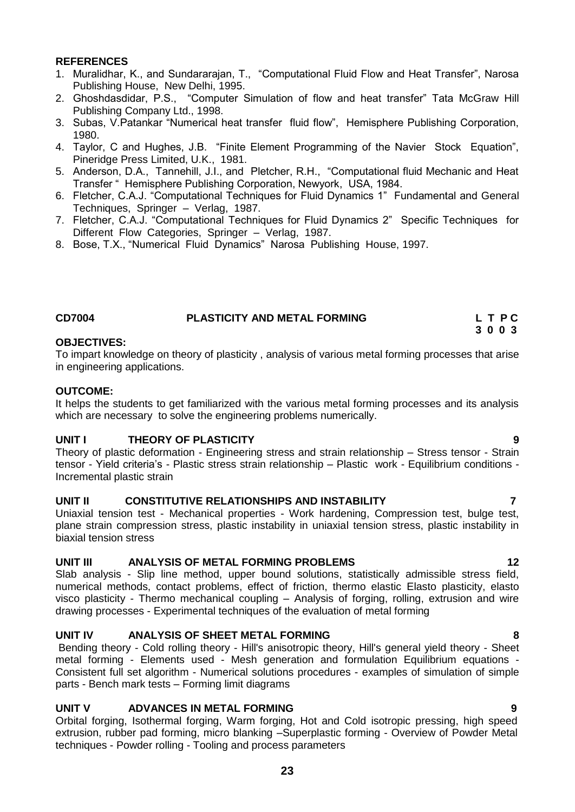### **REFERENCES**

- 1. Muralidhar, K., and Sundararajan, T., "Computational Fluid Flow and Heat Transfer", Narosa Publishing House, New Delhi, 1995.
- 2. Ghoshdasdidar, P.S., "Computer Simulation of flow and heat transfer" Tata McGraw Hill Publishing Company Ltd., 1998.
- 3. Subas, V.Patankar "Numerical heat transfer fluid flow", Hemisphere Publishing Corporation, 1980.
- 4. Taylor, C and Hughes, J.B. "Finite Element Programming of the Navier Stock Equation", Pineridge Press Limited, U.K., 1981.
- 5. Anderson, D.A., Tannehill, J.I., and Pletcher, R.H., "Computational fluid Mechanic and Heat Transfer " Hemisphere Publishing Corporation, Newyork, USA, 1984.
- 6. Fletcher, C.A.J. "Computational Techniques for Fluid Dynamics 1" Fundamental and General Techniques, Springer – Verlag, 1987.
- 7. Fletcher, C.A.J. "Computational Techniques for Fluid Dynamics 2" Specific Techniques for Different Flow Categories, Springer – Verlag, 1987.
- 8. Bose, T.X., "Numerical Fluid Dynamics" Narosa Publishing House, 1997.

<span id="page-22-0"></span>

| <b>CD7004</b> | <b>PLASTICITY AND METAL FORMING</b> | LTPC |
|---------------|-------------------------------------|------|
|               |                                     | 3003 |

### **OBJECTIVES:**

To impart knowledge on theory of plasticity , analysis of various metal forming processes that arise in engineering applications.

### **OUTCOME:**

It helps the students to get familiarized with the various metal forming processes and its analysis which are necessary to solve the engineering problems numerically.

# **UNIT I THEORY OF PLASTICITY 9**

Theory of plastic deformation - Engineering stress and strain relationship – Stress tensor - Strain tensor - Yield criteria's - Plastic stress strain relationship – Plastic work - Equilibrium conditions - Incremental plastic strain

### **UNIT II CONSTITUTIVE RELATIONSHIPS AND INSTABILITY 7**

Uniaxial tension test - Mechanical properties - Work hardening, Compression test, bulge test, plane strain compression stress, plastic instability in uniaxial tension stress, plastic instability in biaxial tension stress

# **UNIT III ANALYSIS OF METAL FORMING PROBLEMS 12**

Slab analysis - Slip line method, upper bound solutions, statistically admissible stress field, numerical methods, contact problems, effect of friction, thermo elastic Elasto plasticity, elasto visco plasticity - Thermo mechanical coupling – Analysis of forging, rolling, extrusion and wire drawing processes - Experimental techniques of the evaluation of metal forming

# **UNIT IV ANALYSIS OF SHEET METAL FORMING 8**

Bending theory - Cold rolling theory - Hill's anisotropic theory, Hill's general yield theory - Sheet metal forming - Elements used - Mesh generation and formulation Equilibrium equations - Consistent full set algorithm - Numerical solutions procedures - examples of simulation of simple parts - Bench mark tests – Forming limit diagrams

# **UNIT V ADVANCES IN METAL FORMING 9**

Orbital forging, Isothermal forging, Warm forging, Hot and Cold isotropic pressing, high speed extrusion, rubber pad forming, micro blanking –Superplastic forming - Overview of Powder Metal techniques - Powder rolling - Tooling and process parameters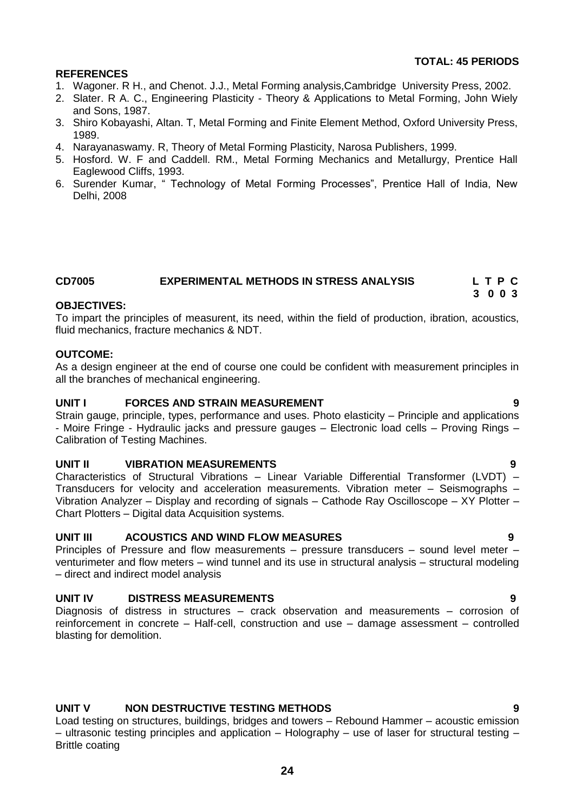# **TOTAL: 45 PERIODS**

# **REFERENCES**

- 1. Wagoner. R H., and Chenot. J.J., Metal Forming analysis,Cambridge University Press, 2002.
- 2. Slater. R A. C., Engineering Plasticity Theory & Applications to Metal Forming, John Wiely and Sons, 1987.
- 3. Shiro Kobayashi, Altan. T, Metal Forming and Finite Element Method, Oxford University Press, 1989.
- 4. Narayanaswamy. R, Theory of Metal Forming Plasticity, Narosa Publishers, 1999.
- 5. Hosford. W. F and Caddell. RM., Metal Forming Mechanics and Metallurgy, Prentice Hall Eaglewood Cliffs, 1993.
- 6. Surender Kumar, " Technology of Metal Forming Processes", Prentice Hall of India, New Delhi, 2008

### <span id="page-23-0"></span>**CD7005 EXPERIMENTAL METHODS IN STRESS ANALYSIS L T P C 3 0 0 3**

### **OBJECTIVES:**

To impart the principles of measurent, its need, within the field of production, ibration, acoustics, fluid mechanics, fracture mechanics & NDT.

### **OUTCOME:**

As a design engineer at the end of course one could be confident with measurement principles in all the branches of mechanical engineering.

### **UNIT I FORCES AND STRAIN MEASUREMENT 9**

Strain gauge, principle, types, performance and uses. Photo elasticity – Principle and applications - Moire Fringe - Hydraulic jacks and pressure gauges – Electronic load cells – Proving Rings – Calibration of Testing Machines.

# **UNIT II VIBRATION MEASUREMENTS 9**

Characteristics of Structural Vibrations – Linear Variable Differential Transformer (LVDT) – Transducers for velocity and acceleration measurements. Vibration meter – Seismographs – Vibration Analyzer – Display and recording of signals – Cathode Ray Oscilloscope – XY Plotter – Chart Plotters – Digital data Acquisition systems.

# **UNIT III ACOUSTICS AND WIND FLOW MEASURES 9**

Principles of Pressure and flow measurements – pressure transducers – sound level meter – venturimeter and flow meters – wind tunnel and its use in structural analysis – structural modeling – direct and indirect model analysis

# **UNIT IV DISTRESS MEASUREMENTS 9**

Diagnosis of distress in structures – crack observation and measurements – corrosion of reinforcement in concrete – Half-cell, construction and use – damage assessment – controlled blasting for demolition.

# **UNIT V NON DESTRUCTIVE TESTING METHODS 9**

Load testing on structures, buildings, bridges and towers – Rebound Hammer – acoustic emission – ultrasonic testing principles and application – Holography – use of laser for structural testing – Brittle coating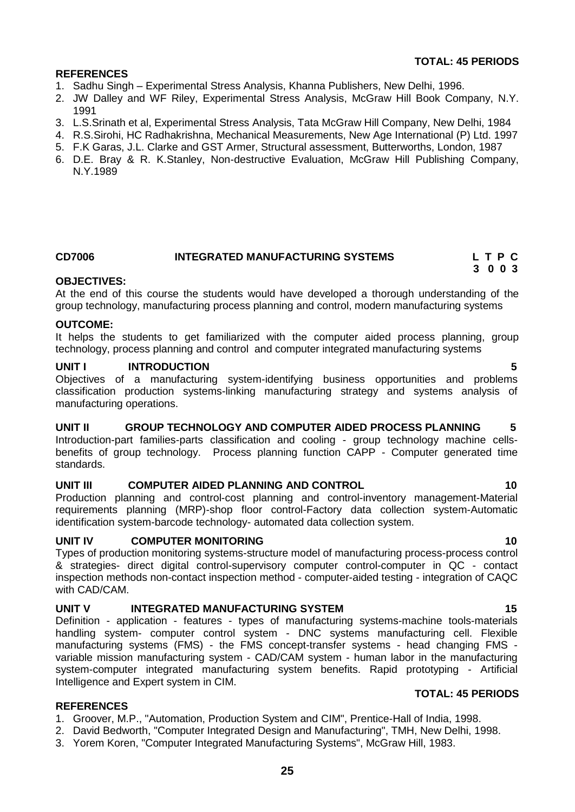# **TOTAL: 45 PERIODS**

# **REFERENCES**

- 1. Sadhu Singh Experimental Stress Analysis, Khanna Publishers, New Delhi, 1996.
- 2. JW Dalley and WF Riley, Experimental Stress Analysis, McGraw Hill Book Company, N.Y. 1991
- 3. L.S.Srinath et al, Experimental Stress Analysis, Tata McGraw Hill Company, New Delhi, 1984
- 4. R.S.Sirohi, HC Radhakrishna, Mechanical Measurements, New Age International (P) Ltd. 1997
- 5. F.K Garas, J.L. Clarke and GST Armer, Structural assessment, Butterworths, London, 1987
- 6. D.E. Bray & R. K.Stanley, Non-destructive Evaluation, McGraw Hill Publishing Company, N.Y.1989

# <span id="page-24-0"></span>**CD7006 INTEGRATED MANUFACTURING SYSTEMS L T P C**

### **3 0 0 3 OBJECTIVES:**

At the end of this course the students would have developed a thorough understanding of the group technology, manufacturing process planning and control, modern manufacturing systems

### **OUTCOME:**

It helps the students to get familiarized with the computer aided process planning, group technology, process planning and control and computer integrated manufacturing systems

### **UNIT I INTRODUCTION 5**

Objectives of a manufacturing system-identifying business opportunities and problems classification production systems-linking manufacturing strategy and systems analysis of manufacturing operations.

# **UNIT II GROUP TECHNOLOGY AND COMPUTER AIDED PROCESS PLANNING 5**

Introduction-part families-parts classification and cooling - group technology machine cellsbenefits of group technology. Process planning function CAPP - Computer generated time standards.

# **UNIT III COMPUTER AIDED PLANNING AND CONTROL 10**

Production planning and control-cost planning and control-inventory management-Material requirements planning (MRP)-shop floor control-Factory data collection system-Automatic identification system-barcode technology- automated data collection system.

# **UNIT IV COMPUTER MONITORING 10** 10

Types of production monitoring systems-structure model of manufacturing process-process control & strategies- direct digital control-supervisory computer control-computer in QC - contact inspection methods non-contact inspection method - computer-aided testing - integration of CAQC with CAD/CAM.

# **UNIT V INTEGRATED MANUFACTURING SYSTEM 15**

Definition - application - features - types of manufacturing systems-machine tools-materials handling system- computer control system - DNC systems manufacturing cell. Flexible manufacturing systems (FMS) - the FMS concept-transfer systems - head changing FMS variable mission manufacturing system - CAD/CAM system - human labor in the manufacturing system-computer integrated manufacturing system benefits. Rapid prototyping - Artificial Intelligence and Expert system in CIM.

### **REFERENCES**

- 1. Groover, M.P., "Automation, Production System and CIM", Prentice-Hall of India, 1998.
- 2. David Bedworth, "Computer Integrated Design and Manufacturing", TMH, New Delhi, 1998.
- 3. Yorem Koren, "Computer Integrated Manufacturing Systems", McGraw Hill, 1983.

**TOTAL: 45 PERIODS**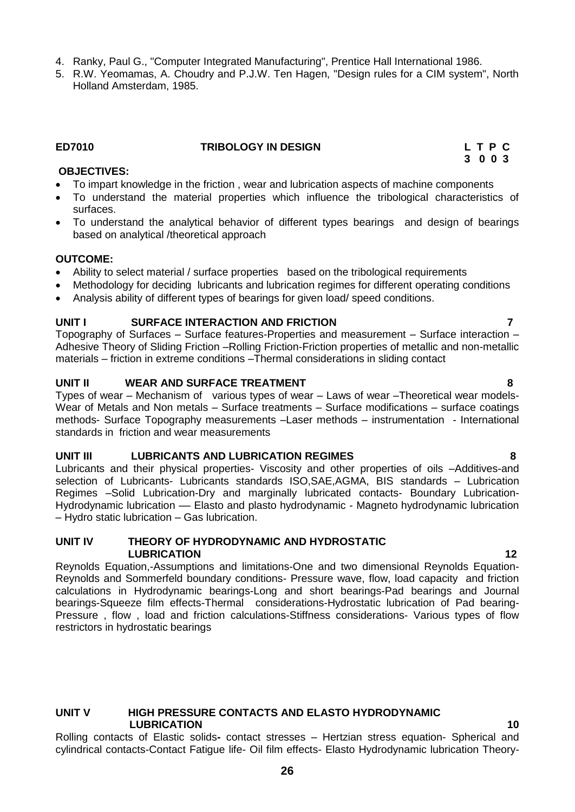- 4. Ranky, Paul G., "Computer Integrated Manufacturing", Prentice Hall International 1986.
- 5. R.W. Yeomamas, A. Choudry and P.J.W. Ten Hagen, "Design rules for a CIM system", North Holland Amsterdam, 1985.

### **ED7010 TRIBOLOGY IN DESIGN L T P C**

<span id="page-25-0"></span> **3 0 0 3**

### **OBJECTIVES:**

- To impart knowledge in the friction , wear and lubrication aspects of machine components
- To understand the material properties which influence the tribological characteristics of surfaces.
- To understand the analytical behavior of different types bearings and design of bearings based on analytical /theoretical approach

### **OUTCOME:**

- Ability to select material / surface properties based on the tribological requirements
- Methodology for deciding lubricants and lubrication regimes for different operating conditions
- Analysis ability of different types of bearings for given load/ speed conditions.

# **UNIT I SURFACE INTERACTION AND FRICTION 7**

Topography of Surfaces – Surface features-Properties and measurement – Surface interaction – Adhesive Theory of Sliding Friction –Rolling Friction-Friction properties of metallic and non-metallic materials – friction in extreme conditions –Thermal considerations in sliding contact

### **UNIT II WEAR AND SURFACE TREATMENT 8**

Types of wear – Mechanism of various types of wear – Laws of wear –Theoretical wear models-Wear of Metals and Non metals – Surface treatments – Surface modifications – surface coatings methods- Surface Topography measurements –Laser methods – instrumentation - International standards in friction and wear measurements

### **UNIT III LUBRICANTS AND LUBRICATION REGIMES 8**

Lubricants and their physical properties- Viscosity and other properties of oils –Additives-and selection of Lubricants- Lubricants standards ISO,SAE,AGMA, BIS standards – Lubrication Regimes –Solid Lubrication-Dry and marginally lubricated contacts- Boundary Lubrication-Hydrodynamic lubrication –– Elasto and plasto hydrodynamic - Magneto hydrodynamic lubrication – Hydro static lubrication – Gas lubrication.

### **UNIT IV THEORY OF HYDRODYNAMIC AND HYDROSTATIC LUBRICATION** 12

Reynolds Equation,-Assumptions and limitations-One and two dimensional Reynolds Equation-Reynolds and Sommerfeld boundary conditions- Pressure wave, flow, load capacity and friction calculations in Hydrodynamic bearings-Long and short bearings-Pad bearings and Journal bearings-Squeeze film effects-Thermal considerations-Hydrostatic lubrication of Pad bearing-Pressure , flow , load and friction calculations-Stiffness considerations- Various types of flow restrictors in hydrostatic bearings

### **UNIT V HIGH PRESSURE CONTACTS AND ELASTO HYDRODYNAMIC LUBRICATION 10 10**

Rolling contacts of Elastic solids**-** contact stresses – Hertzian stress equation- Spherical and cylindrical contacts-Contact Fatigue life- Oil film effects- Elasto Hydrodynamic lubrication Theory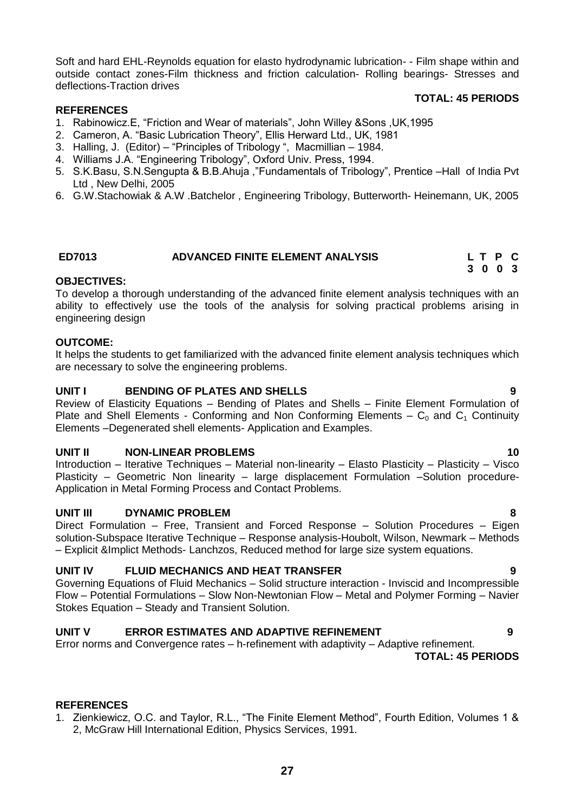Soft and hard EHL-Reynolds equation for elasto hydrodynamic lubrication- - Film shape within and outside contact zones-Film thickness and friction calculation- Rolling bearings- Stresses and deflections-Traction drives

### **REFERENCES**

### **TOTAL: 45 PERIODS**

- 1. Rabinowicz.E, "Friction and Wear of materials", John Willey &Sons ,UK,1995
- 2. Cameron, A. "Basic Lubrication Theory", Ellis Herward Ltd., UK, 1981
- 3. Halling, J. (Editor) "Principles of Tribology ", Macmillian 1984.
- 4. Williams J.A. "Engineering Tribology", Oxford Univ. Press, 1994.
- 5. S.K.Basu, S.N.Sengupta & B.B.Ahuja ,"Fundamentals of Tribology", Prentice –Hall of India Pvt Ltd , New Delhi, 2005
- 6. G.W.Stachowiak & A.W .Batchelor , Engineering Tribology, Butterworth- Heinemann, UK, 2005

# <span id="page-26-0"></span>**ED7013 ADVANCED FINITE ELEMENT ANALYSIS L T P C**

### **3 0 0 3 OBJECTIVES:**

To develop a thorough understanding of the advanced finite element analysis techniques with an ability to effectively use the tools of the analysis for solving practical problems arising in engineering design

### **OUTCOME:**

It helps the students to get familiarized with the advanced finite element analysis techniques which are necessary to solve the engineering problems.

### **UNIT I BENDING OF PLATES AND SHELLS 9**

Review of Elasticity Equations – Bending of Plates and Shells – Finite Element Formulation of Plate and Shell Elements - Conforming and Non Conforming Elements –  $C_0$  and  $C_1$  Continuity Elements –Degenerated shell elements- Application and Examples.

### **UNIT II NON-LINEAR PROBLEMS 10**

Introduction – Iterative Techniques – Material non-linearity – Elasto Plasticity – Plasticity – Visco Plasticity – Geometric Non linearity – large displacement Formulation –Solution procedure-Application in Metal Forming Process and Contact Problems.

### **UNIT III DYNAMIC PROBLEM 8**

Direct Formulation – Free, Transient and Forced Response – Solution Procedures – Eigen solution-Subspace Iterative Technique – Response analysis-Houbolt, Wilson, Newmark – Methods – Explicit &Implict Methods- Lanchzos, Reduced method for large size system equations.

# **UNIT IV FLUID MECHANICS AND HEAT TRANSFER 9**

Governing Equations of Fluid Mechanics – Solid structure interaction - Inviscid and Incompressible Flow – Potential Formulations – Slow Non-Newtonian Flow – Metal and Polymer Forming – Navier Stokes Equation – Steady and Transient Solution.

# **UNIT V ERROR ESTIMATES AND ADAPTIVE REFINEMENT 9**

Error norms and Convergence rates – h-refinement with adaptivity – Adaptive refinement.  **TOTAL: 45 PERIODS** 

### **REFERENCES**

1. Zienkiewicz, O.C. and Taylor, R.L., "The Finite Element Method", Fourth Edition, Volumes 1 & 2, McGraw Hill International Edition, Physics Services, 1991.